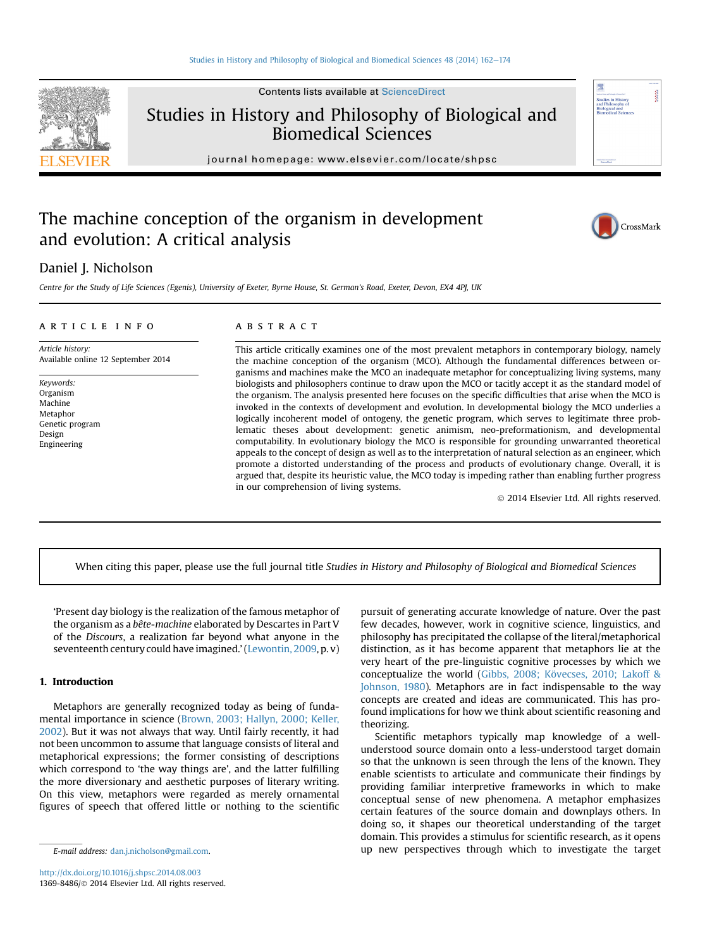

Studies in History and Philosophy of Biological and Biomedical Sciences

journal homepage: [www.elsevier.com/locate/shpsc](http://www.elsevier.com/locate/shpsc)

# The machine conception of the organism in development and evolution: A critical analysis



## Daniel J. Nicholson

Centre for the Study of Life Sciences (Egenis), University of Exeter, Byrne House, St. German's Road, Exeter, Devon, EX4 4PJ, UK

#### article info

Article history: Available online 12 September 2014

Keywords: Organism Machine Metaphor Genetic program Design Engineering

#### **ABSTRACT**

This article critically examines one of the most prevalent metaphors in contemporary biology, namely the machine conception of the organism (MCO). Although the fundamental differences between organisms and machines make the MCO an inadequate metaphor for conceptualizing living systems, many biologists and philosophers continue to draw upon the MCO or tacitly accept it as the standard model of the organism. The analysis presented here focuses on the specific difficulties that arise when the MCO is invoked in the contexts of development and evolution. In developmental biology the MCO underlies a logically incoherent model of ontogeny, the genetic program, which serves to legitimate three problematic theses about development: genetic animism, neo-preformationism, and developmental computability. In evolutionary biology the MCO is responsible for grounding unwarranted theoretical appeals to the concept of design as well as to the interpretation of natural selection as an engineer, which promote a distorted understanding of the process and products of evolutionary change. Overall, it is argued that, despite its heuristic value, the MCO today is impeding rather than enabling further progress in our comprehension of living systems.

2014 Elsevier Ltd. All rights reserved.

When citing this paper, please use the full journal title Studies in History and Philosophy of Biological and Biomedical Sciences

'Present day biology is the realization of the famous metaphor of the organism as a bête-machine elaborated by Descartes in Part V of the Discours, a realization far beyond what anyone in the seventeenth century could have imagined.'[\(Lewontin, 2009,](#page-11-0) p. v)

#### 1. Introduction

Metaphors are generally recognized today as being of fundamental importance in science ([Brown, 2003; Hallyn, 2000; Keller,](#page-10-0) [2002](#page-10-0)). But it was not always that way. Until fairly recently, it had not been uncommon to assume that language consists of literal and metaphorical expressions; the former consisting of descriptions which correspond to 'the way things are', and the latter fulfilling the more diversionary and aesthetic purposes of literary writing. On this view, metaphors were regarded as merely ornamental figures of speech that offered little or nothing to the scientific

pursuit of generating accurate knowledge of nature. Over the past few decades, however, work in cognitive science, linguistics, and philosophy has precipitated the collapse of the literal/metaphorical distinction, as it has become apparent that metaphors lie at the very heart of the pre-linguistic cognitive processes by which we conceptualize the world ([Gibbs, 2008; Kövecses, 2010; Lakoff &](#page-11-0) [Johnson, 1980\)](#page-11-0). Metaphors are in fact indispensable to the way concepts are created and ideas are communicated. This has profound implications for how we think about scientific reasoning and theorizing.

Scientific metaphors typically map knowledge of a wellunderstood source domain onto a less-understood target domain so that the unknown is seen through the lens of the known. They enable scientists to articulate and communicate their findings by providing familiar interpretive frameworks in which to make conceptual sense of new phenomena. A metaphor emphasizes certain features of the source domain and downplays others. In doing so, it shapes our theoretical understanding of the target domain. This provides a stimulus for scientific research, as it opens E-mail address: [dan.j.nicholson@gmail.com.](mailto:dan.j.nicholson@gmail.com) up new perspectives through which to investigate the target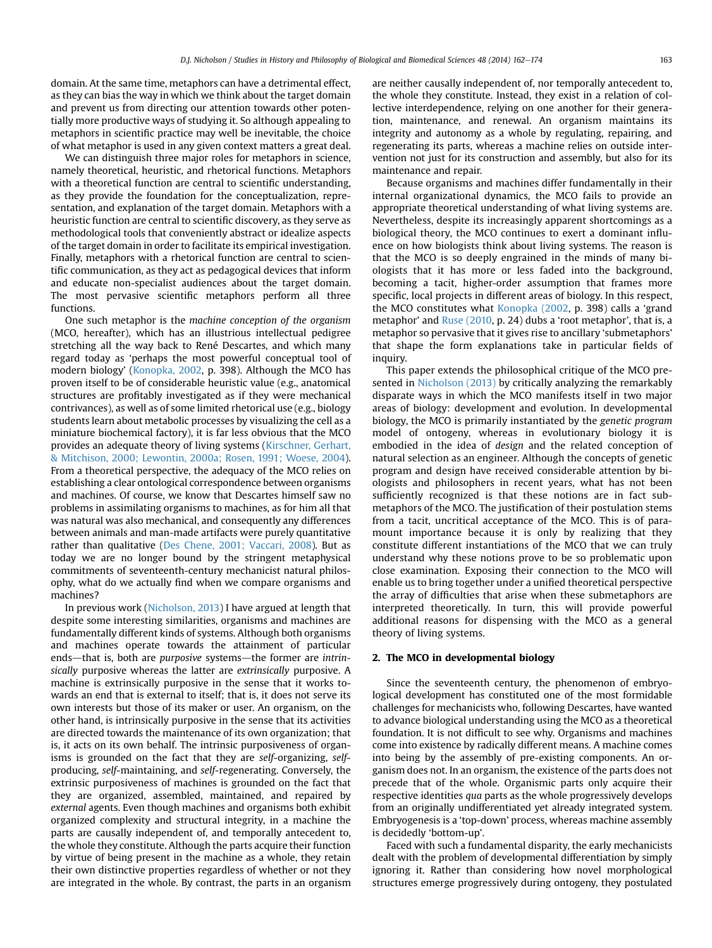domain. At the same time, metaphors can have a detrimental effect, as they can bias the way in which we think about the target domain and prevent us from directing our attention towards other potentially more productive ways of studying it. So although appealing to metaphors in scientific practice may well be inevitable, the choice of what metaphor is used in any given context matters a great deal.

We can distinguish three major roles for metaphors in science, namely theoretical, heuristic, and rhetorical functions. Metaphors with a theoretical function are central to scientific understanding, as they provide the foundation for the conceptualization, representation, and explanation of the target domain. Metaphors with a heuristic function are central to scientific discovery, as they serve as methodological tools that conveniently abstract or idealize aspects of the target domain in order to facilitate its empirical investigation. Finally, metaphors with a rhetorical function are central to scientific communication, as they act as pedagogical devices that inform and educate non-specialist audiences about the target domain. The most pervasive scientific metaphors perform all three functions.

One such metaphor is the machine conception of the organism (MCO, hereafter), which has an illustrious intellectual pedigree stretching all the way back to René Descartes, and which many regard today as 'perhaps the most powerful conceptual tool of modern biology' [\(Konopka, 2002,](#page-11-0) p. 398). Although the MCO has proven itself to be of considerable heuristic value (e.g., anatomical structures are profitably investigated as if they were mechanical contrivances), as well as of some limited rhetorical use (e.g., biology students learn about metabolic processes by visualizing the cell as a miniature biochemical factory), it is far less obvious that the MCO provides an adequate theory of living systems [\(Kirschner, Gerhart,](#page-11-0) [& Mitchison, 2000; Lewontin, 2000a; Rosen, 1991; Woese, 2004\)](#page-11-0). From a theoretical perspective, the adequacy of the MCO relies on establishing a clear ontological correspondence between organisms and machines. Of course, we know that Descartes himself saw no problems in assimilating organisms to machines, as for him all that was natural was also mechanical, and consequently any differences between animals and man-made artifacts were purely quantitative rather than qualitative ([Des Chene, 2001; Vaccari, 2008\)](#page-11-0). But as today we are no longer bound by the stringent metaphysical commitments of seventeenth-century mechanicist natural philosophy, what do we actually find when we compare organisms and machines?

In previous work ([Nicholson, 2013\)](#page-11-0) I have argued at length that despite some interesting similarities, organisms and machines are fundamentally different kinds of systems. Although both organisms and machines operate towards the attainment of particular ends-that is, both are purposive systems-the former are intrinsically purposive whereas the latter are extrinsically purposive. A machine is extrinsically purposive in the sense that it works towards an end that is external to itself; that is, it does not serve its own interests but those of its maker or user. An organism, on the other hand, is intrinsically purposive in the sense that its activities are directed towards the maintenance of its own organization; that is, it acts on its own behalf. The intrinsic purposiveness of organisms is grounded on the fact that they are self-organizing, selfproducing, self-maintaining, and self-regenerating. Conversely, the extrinsic purposiveness of machines is grounded on the fact that they are organized, assembled, maintained, and repaired by external agents. Even though machines and organisms both exhibit organized complexity and structural integrity, in a machine the parts are causally independent of, and temporally antecedent to, the whole they constitute. Although the parts acquire their function by virtue of being present in the machine as a whole, they retain their own distinctive properties regardless of whether or not they are integrated in the whole. By contrast, the parts in an organism are neither causally independent of, nor temporally antecedent to, the whole they constitute. Instead, they exist in a relation of collective interdependence, relying on one another for their generation, maintenance, and renewal. An organism maintains its integrity and autonomy as a whole by regulating, repairing, and regenerating its parts, whereas a machine relies on outside intervention not just for its construction and assembly, but also for its maintenance and repair.

Because organisms and machines differ fundamentally in their internal organizational dynamics, the MCO fails to provide an appropriate theoretical understanding of what living systems are. Nevertheless, despite its increasingly apparent shortcomings as a biological theory, the MCO continues to exert a dominant influence on how biologists think about living systems. The reason is that the MCO is so deeply engrained in the minds of many biologists that it has more or less faded into the background, becoming a tacit, higher-order assumption that frames more specific, local projects in different areas of biology. In this respect, the MCO constitutes what [Konopka \(2002,](#page-11-0) p. 398) calls a 'grand metaphor' and [Ruse \(2010,](#page-11-0) p. 24) dubs a 'root metaphor', that is, a metaphor so pervasive that it gives rise to ancillary 'submetaphors' that shape the form explanations take in particular fields of inquiry.

This paper extends the philosophical critique of the MCO presented in [Nicholson \(2013\)](#page-11-0) by critically analyzing the remarkably disparate ways in which the MCO manifests itself in two major areas of biology: development and evolution. In developmental biology, the MCO is primarily instantiated by the genetic program model of ontogeny, whereas in evolutionary biology it is embodied in the idea of design and the related conception of natural selection as an engineer. Although the concepts of genetic program and design have received considerable attention by biologists and philosophers in recent years, what has not been sufficiently recognized is that these notions are in fact submetaphors of the MCO. The justification of their postulation stems from a tacit, uncritical acceptance of the MCO. This is of paramount importance because it is only by realizing that they constitute different instantiations of the MCO that we can truly understand why these notions prove to be so problematic upon close examination. Exposing their connection to the MCO will enable us to bring together under a unified theoretical perspective the array of difficulties that arise when these submetaphors are interpreted theoretically. In turn, this will provide powerful additional reasons for dispensing with the MCO as a general theory of living systems.

#### 2. The MCO in developmental biology

Since the seventeenth century, the phenomenon of embryological development has constituted one of the most formidable challenges for mechanicists who, following Descartes, have wanted to advance biological understanding using the MCO as a theoretical foundation. It is not difficult to see why. Organisms and machines come into existence by radically different means. A machine comes into being by the assembly of pre-existing components. An organism does not. In an organism, the existence of the parts does not precede that of the whole. Organismic parts only acquire their respective identities qua parts as the whole progressively develops from an originally undifferentiated yet already integrated system. Embryogenesis is a 'top-down' process, whereas machine assembly is decidedly 'bottom-up'.

Faced with such a fundamental disparity, the early mechanicists dealt with the problem of developmental differentiation by simply ignoring it. Rather than considering how novel morphological structures emerge progressively during ontogeny, they postulated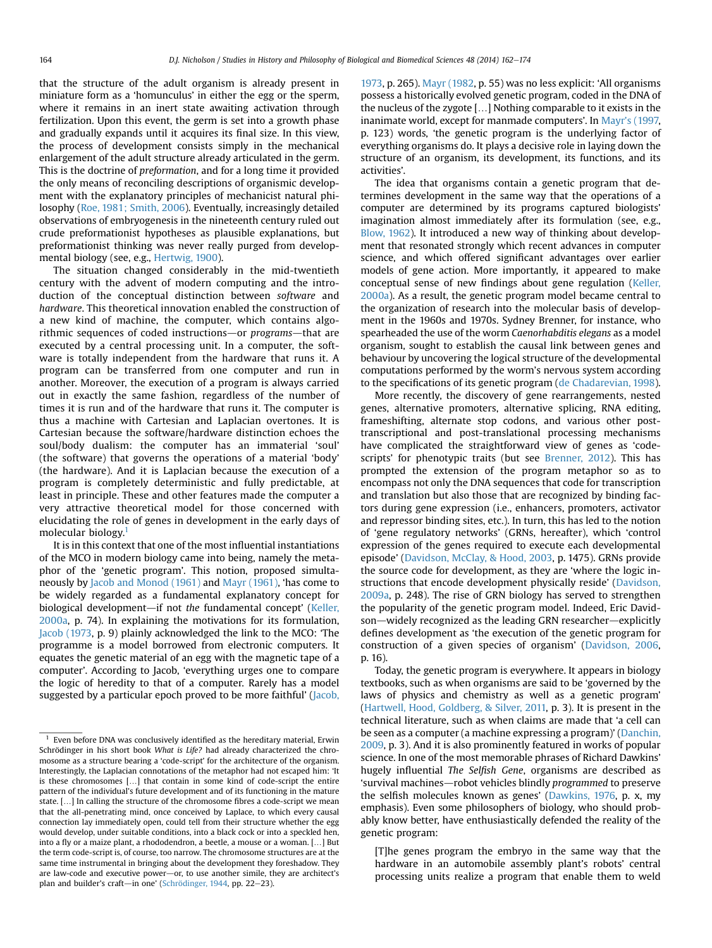that the structure of the adult organism is already present in miniature form as a 'homunculus' in either the egg or the sperm, where it remains in an inert state awaiting activation through fertilization. Upon this event, the germ is set into a growth phase and gradually expands until it acquires its final size. In this view, the process of development consists simply in the mechanical enlargement of the adult structure already articulated in the germ. This is the doctrine of preformation, and for a long time it provided the only means of reconciling descriptions of organismic development with the explanatory principles of mechanicist natural philosophy ([Roe, 1981; Smith, 2006\)](#page-11-0). Eventually, increasingly detailed observations of embryogenesis in the nineteenth century ruled out crude preformationist hypotheses as plausible explanations, but preformationist thinking was never really purged from developmental biology (see, e.g., [Hertwig, 1900](#page-11-0)).

The situation changed considerably in the mid-twentieth century with the advent of modern computing and the introduction of the conceptual distinction between software and hardware. This theoretical innovation enabled the construction of a new kind of machine, the computer, which contains algorithmic sequences of coded instructions—or programs—that are executed by a central processing unit. In a computer, the software is totally independent from the hardware that runs it. A program can be transferred from one computer and run in another. Moreover, the execution of a program is always carried out in exactly the same fashion, regardless of the number of times it is run and of the hardware that runs it. The computer is thus a machine with Cartesian and Laplacian overtones. It is Cartesian because the software/hardware distinction echoes the soul/body dualism: the computer has an immaterial 'soul' (the software) that governs the operations of a material 'body' (the hardware). And it is Laplacian because the execution of a program is completely deterministic and fully predictable, at least in principle. These and other features made the computer a very attractive theoretical model for those concerned with elucidating the role of genes in development in the early days of molecular biology.<sup>1</sup>

It is in this context that one of the most influential instantiations of the MCO in modern biology came into being, namely the metaphor of the 'genetic program'. This notion, proposed simultaneously by [Jacob and Monod \(1961\)](#page-11-0) and [Mayr \(1961\)](#page-11-0), 'has come to be widely regarded as a fundamental explanatory concept for biological development—if not the fundamental concept' [\(Keller,](#page-11-0) [2000a,](#page-11-0) p. 74). In explaining the motivations for its formulation, [Jacob \(1973,](#page-11-0) p. 9) plainly acknowledged the link to the MCO: 'The programme is a model borrowed from electronic computers. It equates the genetic material of an egg with the magnetic tape of a computer'. According to Jacob, 'everything urges one to compare the logic of heredity to that of a computer. Rarely has a model suggested by a particular epoch proved to be more faithful' ([Jacob,](#page-11-0) [1973,](#page-11-0) p. 265). [Mayr \(1982](#page-11-0), p. 55) was no less explicit: 'All organisms possess a historically evolved genetic program, coded in the DNA of the nucleus of the zygote [...] Nothing comparable to it exists in the inanimate world, except for manmade computers'. In Mayr'[s \(1997,](#page-11-0) p. 123) words, 'the genetic program is the underlying factor of everything organisms do. It plays a decisive role in laying down the structure of an organism, its development, its functions, and its activities'.

The idea that organisms contain a genetic program that determines development in the same way that the operations of a computer are determined by its programs captured biologists' imagination almost immediately after its formulation (see, e.g., [Blow, 1962](#page-10-0)). It introduced a new way of thinking about development that resonated strongly which recent advances in computer science, and which offered significant advantages over earlier models of gene action. More importantly, it appeared to make conceptual sense of new findings about gene regulation [\(Keller,](#page-11-0) [2000a\)](#page-11-0). As a result, the genetic program model became central to the organization of research into the molecular basis of development in the 1960s and 1970s. Sydney Brenner, for instance, who spearheaded the use of the worm Caenorhabditis elegans as a model organism, sought to establish the causal link between genes and behaviour by uncovering the logical structure of the developmental computations performed by the worm's nervous system according to the specifications of its genetic program [\(de Chadarevian, 1998\)](#page-10-0).

More recently, the discovery of gene rearrangements, nested genes, alternative promoters, alternative splicing, RNA editing, frameshifting, alternate stop codons, and various other posttranscriptional and post-translational processing mechanisms have complicated the straightforward view of genes as 'codescripts' for phenotypic traits (but see [Brenner, 2012\)](#page-10-0). This has prompted the extension of the program metaphor so as to encompass not only the DNA sequences that code for transcription and translation but also those that are recognized by binding factors during gene expression (i.e., enhancers, promoters, activator and repressor binding sites, etc.). In turn, this has led to the notion of 'gene regulatory networks' (GRNs, hereafter), which 'control expression of the genes required to execute each developmental episode' ([Davidson, McClay, & Hood, 2003](#page-11-0), p. 1475). GRNs provide the source code for development, as they are 'where the logic instructions that encode development physically reside' ([Davidson,](#page-11-0) [2009a](#page-11-0), p. 248). The rise of GRN biology has served to strengthen the popularity of the genetic program model. Indeed, Eric Davidson-widely recognized as the leading GRN researcher-explicitly defines development as 'the execution of the genetic program for construction of a given species of organism' ([Davidson, 2006,](#page-11-0) p. 16).

Today, the genetic program is everywhere. It appears in biology textbooks, such as when organisms are said to be 'governed by the laws of physics and chemistry as well as a genetic program' ([Hartwell, Hood, Goldberg, & Silver, 2011,](#page-11-0) p. 3). It is present in the technical literature, such as when claims are made that 'a cell can be seen as a computer (a machine expressing a program)' ([Danchin,](#page-11-0) [2009](#page-11-0), p. 3). And it is also prominently featured in works of popular science. In one of the most memorable phrases of Richard Dawkins' hugely influential The Selfish Gene, organisms are described as 'survival machines—robot vehicles blindly programmed to preserve the selfish molecules known as genes' [\(Dawkins, 1976,](#page-11-0) p. x, my emphasis). Even some philosophers of biology, who should probably know better, have enthusiastically defended the reality of the genetic program:

[T]he genes program the embryo in the same way that the hardware in an automobile assembly plant's robots' central processing units realize a program that enable them to weld

<sup>1</sup> Even before DNA was conclusively identified as the hereditary material, Erwin Schrödinger in his short book What is Life? had already characterized the chromosome as a structure bearing a 'code-script' for the architecture of the organism. Interestingly, the Laplacian connotations of the metaphor had not escaped him: 'It is these chromosomes [.] that contain in some kind of code-script the entire pattern of the individual's future development and of its functioning in the mature state.  $[...]$  In calling the structure of the chromosome fibres a code-script we mean that the all-penetrating mind, once conceived by Laplace, to which every causal connection lay immediately open, could tell from their structure whether the egg would develop, under suitable conditions, into a black cock or into a speckled hen, into a fly or a maize plant, a rhododendron, a beetle, a mouse or a woman. [...] But the term code-script is, of course, too narrow. The chromosome structures are at the same time instrumental in bringing about the development they foreshadow. They are law-code and executive power-or, to use another simile, they are architect's plan and builder's craft-in one' ([Schrödinger, 1944](#page-11-0), pp. 22-23).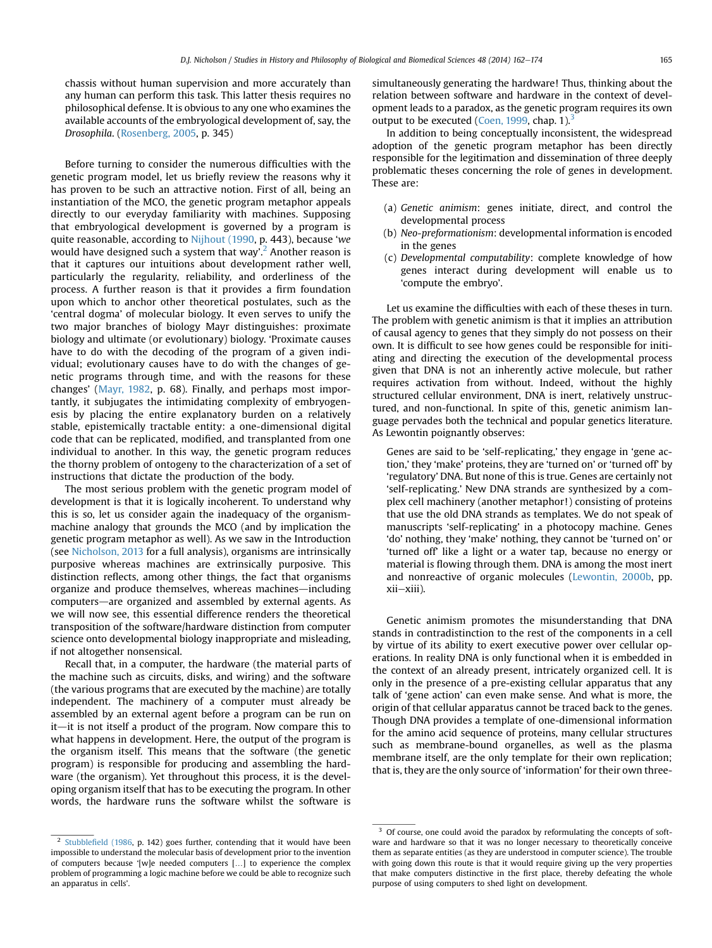chassis without human supervision and more accurately than any human can perform this task. This latter thesis requires no philosophical defense. It is obvious to any one who examines the available accounts of the embryological development of, say, the Drosophila. [\(Rosenberg, 2005](#page-11-0), p. 345)

Before turning to consider the numerous difficulties with the genetic program model, let us briefly review the reasons why it has proven to be such an attractive notion. First of all, being an instantiation of the MCO, the genetic program metaphor appeals directly to our everyday familiarity with machines. Supposing that embryological development is governed by a program is quite reasonable, according to [Nijhout \(1990,](#page-11-0) p. 443), because 'we would have designed such a system that way'.<sup>2</sup> Another reason is that it captures our intuitions about development rather well, particularly the regularity, reliability, and orderliness of the process. A further reason is that it provides a firm foundation upon which to anchor other theoretical postulates, such as the 'central dogma' of molecular biology. It even serves to unify the two major branches of biology Mayr distinguishes: proximate biology and ultimate (or evolutionary) biology. 'Proximate causes have to do with the decoding of the program of a given individual; evolutionary causes have to do with the changes of genetic programs through time, and with the reasons for these changes' [\(Mayr, 1982,](#page-11-0) p. 68). Finally, and perhaps most importantly, it subjugates the intimidating complexity of embryogenesis by placing the entire explanatory burden on a relatively stable, epistemically tractable entity: a one-dimensional digital code that can be replicated, modified, and transplanted from one individual to another. In this way, the genetic program reduces the thorny problem of ontogeny to the characterization of a set of instructions that dictate the production of the body.

The most serious problem with the genetic program model of development is that it is logically incoherent. To understand why this is so, let us consider again the inadequacy of the organismmachine analogy that grounds the MCO (and by implication the genetic program metaphor as well). As we saw in the Introduction (see [Nicholson, 2013](#page-11-0) for a full analysis), organisms are intrinsically purposive whereas machines are extrinsically purposive. This distinction reflects, among other things, the fact that organisms organize and produce themselves, whereas machines—including computers-are organized and assembled by external agents. As we will now see, this essential difference renders the theoretical transposition of the software/hardware distinction from computer science onto developmental biology inappropriate and misleading, if not altogether nonsensical.

Recall that, in a computer, the hardware (the material parts of the machine such as circuits, disks, and wiring) and the software (the various programs that are executed by the machine) are totally independent. The machinery of a computer must already be assembled by an external agent before a program can be run on it—it is not itself a product of the program. Now compare this to what happens in development. Here, the output of the program is the organism itself. This means that the software (the genetic program) is responsible for producing and assembling the hardware (the organism). Yet throughout this process, it is the developing organism itself that has to be executing the program. In other words, the hardware runs the software whilst the software is

simultaneously generating the hardware! Thus, thinking about the relation between software and hardware in the context of development leads to a paradox, as the genetic program requires its own output to be executed [\(Coen, 1999](#page-10-0), chap. 1). $3$ 

In addition to being conceptually inconsistent, the widespread adoption of the genetic program metaphor has been directly responsible for the legitimation and dissemination of three deeply problematic theses concerning the role of genes in development. These are:

- (a) Genetic animism: genes initiate, direct, and control the developmental process
- (b) Neo-preformationism: developmental information is encoded in the genes
- (c) Developmental computability: complete knowledge of how genes interact during development will enable us to 'compute the embryo'.

Let us examine the difficulties with each of these theses in turn. The problem with genetic animism is that it implies an attribution of causal agency to genes that they simply do not possess on their own. It is difficult to see how genes could be responsible for initiating and directing the execution of the developmental process given that DNA is not an inherently active molecule, but rather requires activation from without. Indeed, without the highly structured cellular environment, DNA is inert, relatively unstructured, and non-functional. In spite of this, genetic animism language pervades both the technical and popular genetics literature. As Lewontin poignantly observes:

Genes are said to be 'self-replicating,' they engage in 'gene action,' they 'make' proteins, they are 'turned on' or 'turned off' by 'regulatory' DNA. But none of this is true. Genes are certainly not 'self-replicating.' New DNA strands are synthesized by a complex cell machinery (another metaphor!) consisting of proteins that use the old DNA strands as templates. We do not speak of manuscripts 'self-replicating' in a photocopy machine. Genes 'do' nothing, they 'make' nothing, they cannot be 'turned on' or 'turned off' like a light or a water tap, because no energy or material is flowing through them. DNA is among the most inert and nonreactive of organic molecules [\(Lewontin, 2000b,](#page-11-0) pp. xii-xiii).

Genetic animism promotes the misunderstanding that DNA stands in contradistinction to the rest of the components in a cell by virtue of its ability to exert executive power over cellular operations. In reality DNA is only functional when it is embedded in the context of an already present, intricately organized cell. It is only in the presence of a pre-existing cellular apparatus that any talk of 'gene action' can even make sense. And what is more, the origin of that cellular apparatus cannot be traced back to the genes. Though DNA provides a template of one-dimensional information for the amino acid sequence of proteins, many cellular structures such as membrane-bound organelles, as well as the plasma membrane itself, are the only template for their own replication; that is, they are the only source of 'information' for their own three-

<sup>&</sup>lt;sup>2</sup> Stubblefi[eld \(1986](#page-12-0), p. 142) goes further, contending that it would have been impossible to understand the molecular basis of development prior to the invention of computers because '[w]e needed computers [...] to experience the complex problem of programming a logic machine before we could be able to recognize such an apparatus in cells'.

<sup>&</sup>lt;sup>3</sup> Of course, one could avoid the paradox by reformulating the concepts of software and hardware so that it was no longer necessary to theoretically conceive them as separate entities (as they are understood in computer science). The trouble with going down this route is that it would require giving up the very properties that make computers distinctive in the first place, thereby defeating the whole purpose of using computers to shed light on development.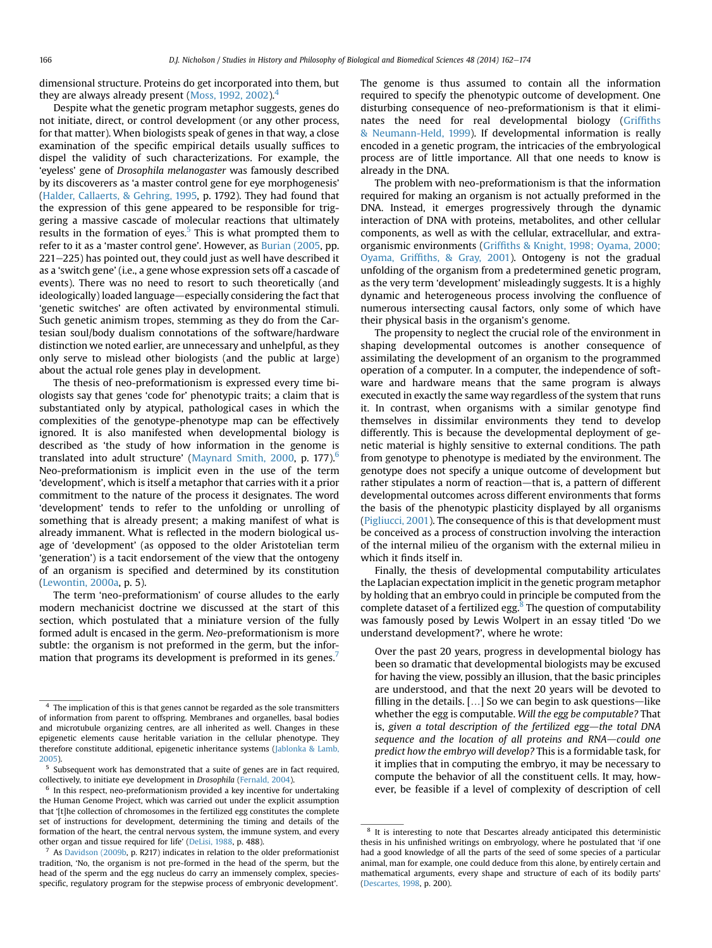dimensional structure. Proteins do get incorporated into them, but they are always already present [\(Moss, 1992, 2002\)](#page-11-0).<sup>4</sup>

Despite what the genetic program metaphor suggests, genes do not initiate, direct, or control development (or any other process, for that matter). When biologists speak of genes in that way, a close examination of the specific empirical details usually suffices to dispel the validity of such characterizations. For example, the 'eyeless' gene of Drosophila melanogaster was famously described by its discoverers as 'a master control gene for eye morphogenesis' ([Halder, Callaerts, & Gehring, 1995,](#page-11-0) p. 1792). They had found that the expression of this gene appeared to be responsible for triggering a massive cascade of molecular reactions that ultimately results in the formation of eyes. $5$  This is what prompted them to refer to it as a 'master control gene'. However, as [Burian \(2005,](#page-10-0) pp.  $221-225$ ) has pointed out, they could just as well have described it as a 'switch gene' (i.e., a gene whose expression sets off a cascade of events). There was no need to resort to such theoretically (and ideologically) loaded language—especially considering the fact that 'genetic switches' are often activated by environmental stimuli. Such genetic animism tropes, stemming as they do from the Cartesian soul/body dualism connotations of the software/hardware distinction we noted earlier, are unnecessary and unhelpful, as they only serve to mislead other biologists (and the public at large) about the actual role genes play in development.

The thesis of neo-preformationism is expressed every time biologists say that genes 'code for' phenotypic traits; a claim that is substantiated only by atypical, pathological cases in which the complexities of the genotype-phenotype map can be effectively ignored. It is also manifested when developmental biology is described as 'the study of how information in the genome is translated into adult structure' [\(Maynard Smith, 2000,](#page-11-0) p. 177). $<sup>6</sup>$ </sup> Neo-preformationism is implicit even in the use of the term 'development', which is itself a metaphor that carries with it a prior commitment to the nature of the process it designates. The word 'development' tends to refer to the unfolding or unrolling of something that is already present; a making manifest of what is already immanent. What is reflected in the modern biological usage of 'development' (as opposed to the older Aristotelian term 'generation') is a tacit endorsement of the view that the ontogeny of an organism is specified and determined by its constitution ([Lewontin, 2000a](#page-11-0), p. 5).

The term 'neo-preformationism' of course alludes to the early modern mechanicist doctrine we discussed at the start of this section, which postulated that a miniature version of the fully formed adult is encased in the germ. Neo-preformationism is more subtle: the organism is not preformed in the germ, but the information that programs its development is preformed in its genes.<sup>7</sup>

The genome is thus assumed to contain all the information required to specify the phenotypic outcome of development. One disturbing consequence of neo-preformationism is that it eliminates the need for real developmental biology ([Grif](#page-11-0)fiths [& Neumann-Held, 1999\)](#page-11-0). If developmental information is really encoded in a genetic program, the intricacies of the embryological process are of little importance. All that one needs to know is already in the DNA.

The problem with neo-preformationism is that the information required for making an organism is not actually preformed in the DNA. Instead, it emerges progressively through the dynamic interaction of DNA with proteins, metabolites, and other cellular components, as well as with the cellular, extracellular, and extraorganismic environments (Griffi[ths & Knight, 1998; Oyama, 2000;](#page-11-0) Oyama, Griffi[ths, & Gray, 2001\)](#page-11-0). Ontogeny is not the gradual unfolding of the organism from a predetermined genetic program, as the very term 'development' misleadingly suggests. It is a highly dynamic and heterogeneous process involving the confluence of numerous intersecting causal factors, only some of which have their physical basis in the organism's genome.

The propensity to neglect the crucial role of the environment in shaping developmental outcomes is another consequence of assimilating the development of an organism to the programmed operation of a computer. In a computer, the independence of software and hardware means that the same program is always executed in exactly the same way regardless of the system that runs it. In contrast, when organisms with a similar genotype find themselves in dissimilar environments they tend to develop differently. This is because the developmental deployment of genetic material is highly sensitive to external conditions. The path from genotype to phenotype is mediated by the environment. The genotype does not specify a unique outcome of development but rather stipulates a norm of reaction-that is, a pattern of different developmental outcomes across different environments that forms the basis of the phenotypic plasticity displayed by all organisms ([Pigliucci, 2001](#page-11-0)). The consequence of this is that development must be conceived as a process of construction involving the interaction of the internal milieu of the organism with the external milieu in which it finds itself in.

Finally, the thesis of developmental computability articulates the Laplacian expectation implicit in the genetic program metaphor by holding that an embryo could in principle be computed from the complete dataset of a fertilized egg. $8$  The question of computability was famously posed by Lewis Wolpert in an essay titled 'Do we understand development?', where he wrote:

Over the past 20 years, progress in developmental biology has been so dramatic that developmental biologists may be excused for having the view, possibly an illusion, that the basic principles are understood, and that the next 20 years will be devoted to filling in the details.  $[...]$  So we can begin to ask questions—like whether the egg is computable. Will the egg be computable? That is, given a total description of the fertilized egg-the total DNA sequence and the location of all proteins and RNA-could one predict how the embryo will develop? This is a formidable task, for it implies that in computing the embryo, it may be necessary to compute the behavior of all the constituent cells. It may, however, be feasible if a level of complexity of description of cell

 $^{\,4}$  The implication of this is that genes cannot be regarded as the sole transmitters of information from parent to offspring. Membranes and organelles, basal bodies and microtubule organizing centres, are all inherited as well. Changes in these epigenetic elements cause heritable variation in the cellular phenotype. They therefore constitute additional, epigenetic inheritance systems [\(Jablonka & Lamb,](#page-11-0) [2005](#page-11-0)).

<sup>5</sup> Subsequent work has demonstrated that a suite of genes are in fact required, collectively, to initiate eye development in Drosophila ([Fernald, 2004\)](#page-11-0).

 $6$  In this respect, neo-preformationism provided a key incentive for undertaking the Human Genome Project, which was carried out under the explicit assumption that '[t]he collection of chromosomes in the fertilized egg constitutes the complete set of instructions for development, determining the timing and details of the formation of the heart, the central nervous system, the immune system, and every other organ and tissue required for life' [\(DeLisi, 1988](#page-11-0), p. 488).

As [Davidson \(2009b,](#page-11-0) p. R217) indicates in relation to the older preformationist tradition, 'No, the organism is not pre-formed in the head of the sperm, but the head of the sperm and the egg nucleus do carry an immensely complex, speciesspecific, regulatory program for the stepwise process of embryonic development'.

<sup>8</sup> It is interesting to note that Descartes already anticipated this deterministic thesis in his unfinished writings on embryology, where he postulated that 'if one had a good knowledge of all the parts of the seed of some species of a particular animal, man for example, one could deduce from this alone, by entirely certain and mathematical arguments, every shape and structure of each of its bodily parts' [\(Descartes, 1998](#page-11-0), p. 200).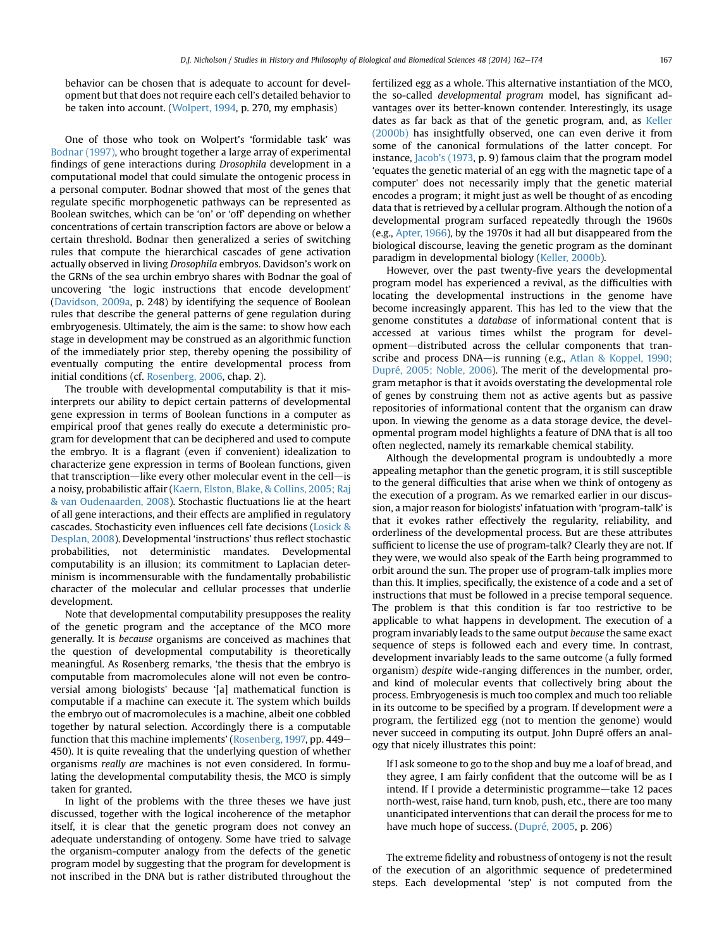behavior can be chosen that is adequate to account for development but that does not require each cell's detailed behavior to be taken into account. [\(Wolpert, 1994](#page-12-0), p. 270, my emphasis)

One of those who took on Wolpert's 'formidable task' was [Bodnar \(1997\)](#page-10-0), who brought together a large array of experimental findings of gene interactions during Drosophila development in a computational model that could simulate the ontogenic process in a personal computer. Bodnar showed that most of the genes that regulate specific morphogenetic pathways can be represented as Boolean switches, which can be 'on' or 'off' depending on whether concentrations of certain transcription factors are above or below a certain threshold. Bodnar then generalized a series of switching rules that compute the hierarchical cascades of gene activation actually observed in living Drosophila embryos. Davidson's work on the GRNs of the sea urchin embryo shares with Bodnar the goal of uncovering 'the logic instructions that encode development' ([Davidson, 2009a,](#page-11-0) p. 248) by identifying the sequence of Boolean rules that describe the general patterns of gene regulation during embryogenesis. Ultimately, the aim is the same: to show how each stage in development may be construed as an algorithmic function of the immediately prior step, thereby opening the possibility of eventually computing the entire developmental process from initial conditions (cf. [Rosenberg, 2006](#page-11-0), chap. 2).

The trouble with developmental computability is that it misinterprets our ability to depict certain patterns of developmental gene expression in terms of Boolean functions in a computer as empirical proof that genes really do execute a deterministic program for development that can be deciphered and used to compute the embryo. It is a flagrant (even if convenient) idealization to characterize gene expression in terms of Boolean functions, given that transcription—like every other molecular event in the cell—is a noisy, probabilistic affair ([Kaern, Elston, Blake, & Collins, 2005; Raj](#page-11-0) [& van Oudenaarden, 2008\)](#page-11-0). Stochastic fluctuations lie at the heart of all gene interactions, and their effects are amplified in regulatory cascades. Stochasticity even influences cell fate decisions [\(Losick &](#page-11-0) [Desplan, 2008\)](#page-11-0). Developmental 'instructions' thus reflect stochastic probabilities, not deterministic mandates. Developmental computability is an illusion; its commitment to Laplacian determinism is incommensurable with the fundamentally probabilistic character of the molecular and cellular processes that underlie development.

Note that developmental computability presupposes the reality of the genetic program and the acceptance of the MCO more generally. It is because organisms are conceived as machines that the question of developmental computability is theoretically meaningful. As Rosenberg remarks, 'the thesis that the embryo is computable from macromolecules alone will not even be controversial among biologists' because '[a] mathematical function is computable if a machine can execute it. The system which builds the embryo out of macromolecules is a machine, albeit one cobbled together by natural selection. Accordingly there is a computable function that this machine implements' [\(Rosenberg, 1997,](#page-11-0) pp. 449– 450). It is quite revealing that the underlying question of whether organisms really are machines is not even considered. In formulating the developmental computability thesis, the MCO is simply taken for granted.

In light of the problems with the three theses we have just discussed, together with the logical incoherence of the metaphor itself, it is clear that the genetic program does not convey an adequate understanding of ontogeny. Some have tried to salvage the organism-computer analogy from the defects of the genetic program model by suggesting that the program for development is not inscribed in the DNA but is rather distributed throughout the fertilized egg as a whole. This alternative instantiation of the MCO, the so-called developmental program model, has significant advantages over its better-known contender. Interestingly, its usage dates as far back as that of the genetic program, and, as [Keller](#page-11-0) [\(2000b\)](#page-11-0) has insightfully observed, one can even derive it from some of the canonical formulations of the latter concept. For instance, Jacob'[s \(1973](#page-11-0), p. 9) famous claim that the program model 'equates the genetic material of an egg with the magnetic tape of a computer' does not necessarily imply that the genetic material encodes a program; it might just as well be thought of as encoding data that is retrieved by a cellular program. Although the notion of a developmental program surfaced repeatedly through the 1960s (e.g., [Apter, 1966\)](#page-10-0), by the 1970s it had all but disappeared from the biological discourse, leaving the genetic program as the dominant paradigm in developmental biology [\(Keller, 2000b](#page-11-0)).

However, over the past twenty-five years the developmental program model has experienced a revival, as the difficulties with locating the developmental instructions in the genome have become increasingly apparent. This has led to the view that the genome constitutes a database of informational content that is accessed at various times whilst the program for development-distributed across the cellular components that tran-scribe and process DNA-is running (e.g., [Atlan & Koppel, 1990;](#page-10-0) [Dupré, 2005; Noble, 2006\)](#page-10-0). The merit of the developmental program metaphor is that it avoids overstating the developmental role of genes by construing them not as active agents but as passive repositories of informational content that the organism can draw upon. In viewing the genome as a data storage device, the developmental program model highlights a feature of DNA that is all too often neglected, namely its remarkable chemical stability.

Although the developmental program is undoubtedly a more appealing metaphor than the genetic program, it is still susceptible to the general difficulties that arise when we think of ontogeny as the execution of a program. As we remarked earlier in our discussion, a major reason for biologists' infatuation with 'program-talk' is that it evokes rather effectively the regularity, reliability, and orderliness of the developmental process. But are these attributes sufficient to license the use of program-talk? Clearly they are not. If they were, we would also speak of the Earth being programmed to orbit around the sun. The proper use of program-talk implies more than this. It implies, specifically, the existence of a code and a set of instructions that must be followed in a precise temporal sequence. The problem is that this condition is far too restrictive to be applicable to what happens in development. The execution of a program invariably leads to the same output because the same exact sequence of steps is followed each and every time. In contrast, development invariably leads to the same outcome (a fully formed organism) despite wide-ranging differences in the number, order, and kind of molecular events that collectively bring about the process. Embryogenesis is much too complex and much too reliable in its outcome to be specified by a program. If development were a program, the fertilized egg (not to mention the genome) would never succeed in computing its output. John Dupré offers an analogy that nicely illustrates this point:

If I ask someone to go to the shop and buy me a loaf of bread, and they agree, I am fairly confident that the outcome will be as I intend. If I provide a deterministic programme—take 12 paces north-west, raise hand, turn knob, push, etc., there are too many unanticipated interventions that can derail the process for me to have much hope of success. ([Dupré, 2005,](#page-11-0) p. 206)

The extreme fidelity and robustness of ontogeny is not the result of the execution of an algorithmic sequence of predetermined steps. Each developmental 'step' is not computed from the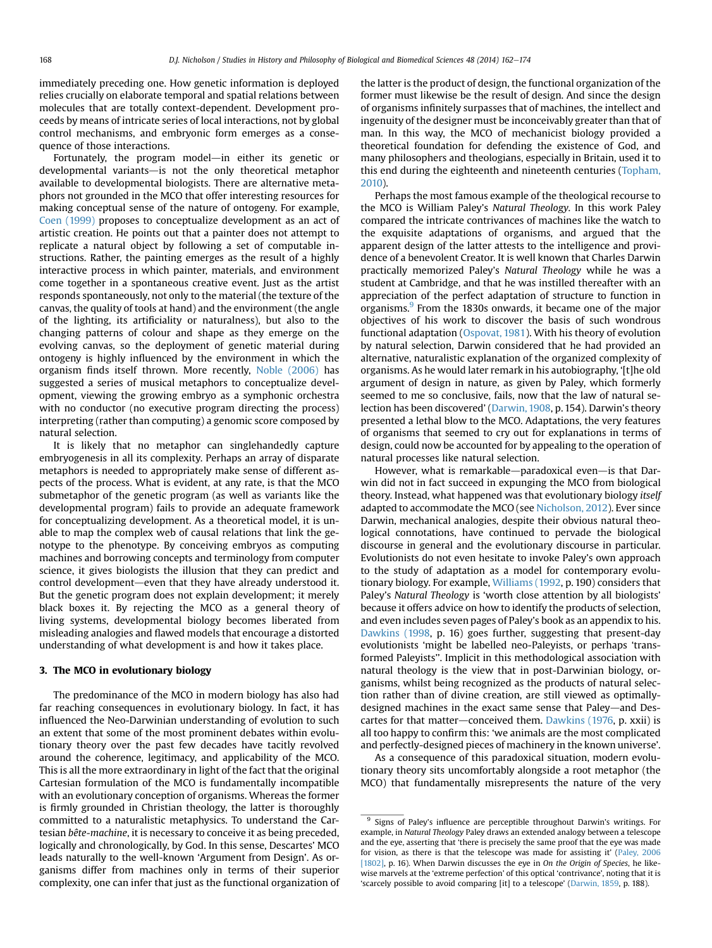immediately preceding one. How genetic information is deployed relies crucially on elaborate temporal and spatial relations between molecules that are totally context-dependent. Development proceeds by means of intricate series of local interactions, not by global control mechanisms, and embryonic form emerges as a consequence of those interactions.

Fortunately, the program model—in either its genetic or developmental variants-is not the only theoretical metaphor available to developmental biologists. There are alternative metaphors not grounded in the MCO that offer interesting resources for making conceptual sense of the nature of ontogeny. For example, [Coen \(1999\)](#page-10-0) proposes to conceptualize development as an act of artistic creation. He points out that a painter does not attempt to replicate a natural object by following a set of computable instructions. Rather, the painting emerges as the result of a highly interactive process in which painter, materials, and environment come together in a spontaneous creative event. Just as the artist responds spontaneously, not only to the material (the texture of the canvas, the quality of tools at hand) and the environment (the angle of the lighting, its artificiality or naturalness), but also to the changing patterns of colour and shape as they emerge on the evolving canvas, so the deployment of genetic material during ontogeny is highly influenced by the environment in which the organism finds itself thrown. More recently, [Noble \(2006\)](#page-11-0) has suggested a series of musical metaphors to conceptualize development, viewing the growing embryo as a symphonic orchestra with no conductor (no executive program directing the process) interpreting (rather than computing) a genomic score composed by natural selection.

It is likely that no metaphor can singlehandedly capture embryogenesis in all its complexity. Perhaps an array of disparate metaphors is needed to appropriately make sense of different aspects of the process. What is evident, at any rate, is that the MCO submetaphor of the genetic program (as well as variants like the developmental program) fails to provide an adequate framework for conceptualizing development. As a theoretical model, it is unable to map the complex web of causal relations that link the genotype to the phenotype. By conceiving embryos as computing machines and borrowing concepts and terminology from computer science, it gives biologists the illusion that they can predict and control development—even that they have already understood it. But the genetic program does not explain development; it merely black boxes it. By rejecting the MCO as a general theory of living systems, developmental biology becomes liberated from misleading analogies and flawed models that encourage a distorted understanding of what development is and how it takes place.

### 3. The MCO in evolutionary biology

The predominance of the MCO in modern biology has also had far reaching consequences in evolutionary biology. In fact, it has influenced the Neo-Darwinian understanding of evolution to such an extent that some of the most prominent debates within evolutionary theory over the past few decades have tacitly revolved around the coherence, legitimacy, and applicability of the MCO. This is all the more extraordinary in light of the fact that the original Cartesian formulation of the MCO is fundamentally incompatible with an evolutionary conception of organisms. Whereas the former is firmly grounded in Christian theology, the latter is thoroughly committed to a naturalistic metaphysics. To understand the Cartesian bête-machine, it is necessary to conceive it as being preceded, logically and chronologically, by God. In this sense, Descartes' MCO leads naturally to the well-known 'Argument from Design'. As organisms differ from machines only in terms of their superior complexity, one can infer that just as the functional organization of the latter is the product of design, the functional organization of the former must likewise be the result of design. And since the design of organisms infinitely surpasses that of machines, the intellect and ingenuity of the designer must be inconceivably greater than that of man. In this way, the MCO of mechanicist biology provided a theoretical foundation for defending the existence of God, and many philosophers and theologians, especially in Britain, used it to this end during the eighteenth and nineteenth centuries [\(Topham,](#page-12-0) [2010\)](#page-12-0).

Perhaps the most famous example of the theological recourse to the MCO is William Paley's Natural Theology. In this work Paley compared the intricate contrivances of machines like the watch to the exquisite adaptations of organisms, and argued that the apparent design of the latter attests to the intelligence and providence of a benevolent Creator. It is well known that Charles Darwin practically memorized Paley's Natural Theology while he was a student at Cambridge, and that he was instilled thereafter with an appreciation of the perfect adaptation of structure to function in organisms.<sup>9</sup> From the 1830s onwards, it became one of the major objectives of his work to discover the basis of such wondrous functional adaptation ([Ospovat, 1981\)](#page-11-0). With his theory of evolution by natural selection, Darwin considered that he had provided an alternative, naturalistic explanation of the organized complexity of organisms. As he would later remark in his autobiography, '[t]he old argument of design in nature, as given by Paley, which formerly seemed to me so conclusive, fails, now that the law of natural selection has been discovered' [\(Darwin, 1908,](#page-11-0) p. 154). Darwin's theory presented a lethal blow to the MCO. Adaptations, the very features of organisms that seemed to cry out for explanations in terms of design, could now be accounted for by appealing to the operation of natural processes like natural selection.

However, what is remarkable—paradoxical even—is that Darwin did not in fact succeed in expunging the MCO from biological theory. Instead, what happened was that evolutionary biology itself adapted to accommodate the MCO (see [Nicholson, 2012\)](#page-11-0). Ever since Darwin, mechanical analogies, despite their obvious natural theological connotations, have continued to pervade the biological discourse in general and the evolutionary discourse in particular. Evolutionists do not even hesitate to invoke Paley's own approach to the study of adaptation as a model for contemporary evolutionary biology. For example, [Williams \(1992](#page-12-0), p. 190) considers that Paley's Natural Theology is 'worth close attention by all biologists' because it offers advice on how to identify the products of selection, and even includes seven pages of Paley's book as an appendix to his. [Dawkins \(1998,](#page-11-0) p. 16) goes further, suggesting that present-day evolutionists 'might be labelled neo-Paleyists, or perhaps 'transformed Paleyists''. Implicit in this methodological association with natural theology is the view that in post-Darwinian biology, organisms, whilst being recognized as the products of natural selection rather than of divine creation, are still viewed as optimallydesigned machines in the exact same sense that Paley—and Des-cartes for that matter-conceived them. [Dawkins \(1976](#page-11-0), p. xxii) is all too happy to confirm this: 'we animals are the most complicated and perfectly-designed pieces of machinery in the known universe'.

As a consequence of this paradoxical situation, modern evolutionary theory sits uncomfortably alongside a root metaphor (the MCO) that fundamentally misrepresents the nature of the very

<sup>&</sup>lt;sup>9</sup> Signs of Paley's influence are perceptible throughout Darwin's writings. For example, in Natural Theology Paley draws an extended analogy between a telescope and the eye, asserting that 'there is precisely the same proof that the eye was made for vision, as there is that the telescope was made for assisting it' [\(Paley, 2006](#page-11-0) [\[1802\]](#page-11-0), p. 16). When Darwin discusses the eye in On the Origin of Species, he likewise marvels at the 'extreme perfection' of this optical 'contrivance', noting that it is 'scarcely possible to avoid comparing [it] to a telescope' [\(Darwin, 1859,](#page-11-0) p. 188).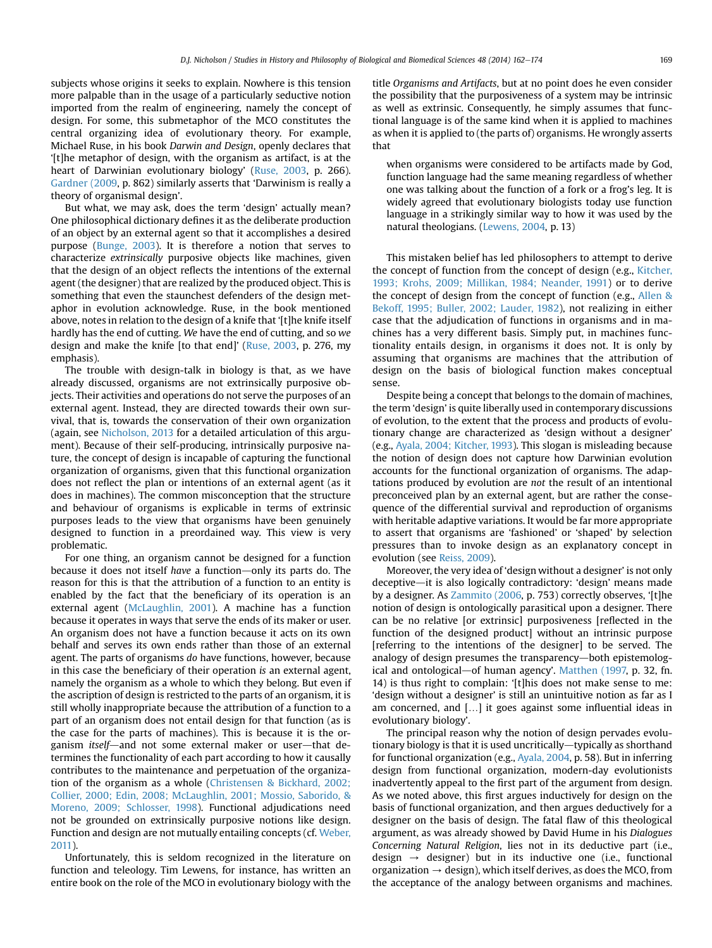subjects whose origins it seeks to explain. Nowhere is this tension more palpable than in the usage of a particularly seductive notion imported from the realm of engineering, namely the concept of design. For some, this submetaphor of the MCO constitutes the central organizing idea of evolutionary theory. For example, Michael Ruse, in his book Darwin and Design, openly declares that '[t]he metaphor of design, with the organism as artifact, is at the heart of Darwinian evolutionary biology' ([Ruse, 2003](#page-11-0), p. 266). [Gardner \(2009](#page-11-0), p. 862) similarly asserts that 'Darwinism is really a theory of organismal design'.

But what, we may ask, does the term 'design' actually mean? One philosophical dictionary defines it as the deliberate production of an object by an external agent so that it accomplishes a desired purpose ([Bunge, 2003](#page-10-0)). It is therefore a notion that serves to characterize extrinsically purposive objects like machines, given that the design of an object reflects the intentions of the external agent (the designer) that are realized by the produced object. This is something that even the staunchest defenders of the design metaphor in evolution acknowledge. Ruse, in the book mentioned above, notes in relation to the design of a knife that '[t]he knife itself hardly has the end of cutting. We have the end of cutting, and so we design and make the knife [to that end]' [\(Ruse, 2003](#page-11-0), p. 276, my emphasis).

The trouble with design-talk in biology is that, as we have already discussed, organisms are not extrinsically purposive objects. Their activities and operations do not serve the purposes of an external agent. Instead, they are directed towards their own survival, that is, towards the conservation of their own organization (again, see [Nicholson, 2013](#page-11-0) for a detailed articulation of this argument). Because of their self-producing, intrinsically purposive nature, the concept of design is incapable of capturing the functional organization of organisms, given that this functional organization does not reflect the plan or intentions of an external agent (as it does in machines). The common misconception that the structure and behaviour of organisms is explicable in terms of extrinsic purposes leads to the view that organisms have been genuinely designed to function in a preordained way. This view is very problematic.

For one thing, an organism cannot be designed for a function because it does not itself have a function-only its parts do. The reason for this is that the attribution of a function to an entity is enabled by the fact that the beneficiary of its operation is an external agent [\(McLaughlin, 2001](#page-11-0)). A machine has a function because it operates in ways that serve the ends of its maker or user. An organism does not have a function because it acts on its own behalf and serves its own ends rather than those of an external agent. The parts of organisms do have functions, however, because in this case the beneficiary of their operation is an external agent, namely the organism as a whole to which they belong. But even if the ascription of design is restricted to the parts of an organism, it is still wholly inappropriate because the attribution of a function to a part of an organism does not entail design for that function (as is the case for the parts of machines). This is because it is the organism itself—and not some external maker or user—that determines the functionality of each part according to how it causally contributes to the maintenance and perpetuation of the organization of the organism as a whole ([Christensen & Bickhard, 2002;](#page-10-0) [Collier, 2000; Edin, 2008; McLaughlin, 2001; Mossio, Saborido, &](#page-10-0) [Moreno, 2009; Schlosser, 1998](#page-10-0)). Functional adjudications need not be grounded on extrinsically purposive notions like design. Function and design are not mutually entailing concepts (cf. [Weber,](#page-12-0) [2011](#page-12-0)).

Unfortunately, this is seldom recognized in the literature on function and teleology. Tim Lewens, for instance, has written an entire book on the role of the MCO in evolutionary biology with the title Organisms and Artifacts, but at no point does he even consider the possibility that the purposiveness of a system may be intrinsic as well as extrinsic. Consequently, he simply assumes that functional language is of the same kind when it is applied to machines as when it is applied to (the parts of) organisms. He wrongly asserts that

when organisms were considered to be artifacts made by God, function language had the same meaning regardless of whether one was talking about the function of a fork or a frog's leg. It is widely agreed that evolutionary biologists today use function language in a strikingly similar way to how it was used by the natural theologians. [\(Lewens, 2004](#page-11-0), p. 13)

This mistaken belief has led philosophers to attempt to derive the concept of function from the concept of design (e.g., [Kitcher,](#page-11-0) [1993; Krohs, 2009; Millikan, 1984; Neander, 1991\)](#page-11-0) or to derive the concept of design from the concept of function (e.g., [Allen &](#page-10-0) [Bekoff, 1995; Buller, 2002; Lauder, 1982\)](#page-10-0), not realizing in either case that the adjudication of functions in organisms and in machines has a very different basis. Simply put, in machines functionality entails design, in organisms it does not. It is only by assuming that organisms are machines that the attribution of design on the basis of biological function makes conceptual sense.

Despite being a concept that belongs to the domain of machines, the term 'design' is quite liberally used in contemporary discussions of evolution, to the extent that the process and products of evolutionary change are characterized as 'design without a designer' (e.g., [Ayala, 2004; Kitcher, 1993\)](#page-10-0). This slogan is misleading because the notion of design does not capture how Darwinian evolution accounts for the functional organization of organisms. The adaptations produced by evolution are not the result of an intentional preconceived plan by an external agent, but are rather the consequence of the differential survival and reproduction of organisms with heritable adaptive variations. It would be far more appropriate to assert that organisms are 'fashioned' or 'shaped' by selection pressures than to invoke design as an explanatory concept in evolution (see [Reiss, 2009](#page-11-0)).

Moreover, the very idea of 'design without a designer' is not only deceptive-it is also logically contradictory: 'design' means made by a designer. As [Zammito \(2006](#page-12-0), p. 753) correctly observes, '[t]he notion of design is ontologically parasitical upon a designer. There can be no relative [or extrinsic] purposiveness [reflected in the function of the designed product] without an intrinsic purpose [referring to the intentions of the designer] to be served. The analogy of design presumes the transparency-both epistemolog-ical and ontological-of human agency'. [Matthen \(1997,](#page-11-0) p. 32, fn. 14) is thus right to complain: '[t]his does not make sense to me: 'design without a designer' is still an unintuitive notion as far as I am concerned, and [...] it goes against some influential ideas in evolutionary biology'.

The principal reason why the notion of design pervades evolutionary biology is that it is used uncritically—typically as shorthand for functional organization (e.g., [Ayala, 2004,](#page-10-0) p. 58). But in inferring design from functional organization, modern-day evolutionists inadvertently appeal to the first part of the argument from design. As we noted above, this first argues inductively for design on the basis of functional organization, and then argues deductively for a designer on the basis of design. The fatal flaw of this theological argument, as was already showed by David Hume in his Dialogues Concerning Natural Religion, lies not in its deductive part (i.e., design  $\rightarrow$  designer) but in its inductive one (i.e., functional organization  $\rightarrow$  design), which itself derives, as does the MCO, from the acceptance of the analogy between organisms and machines.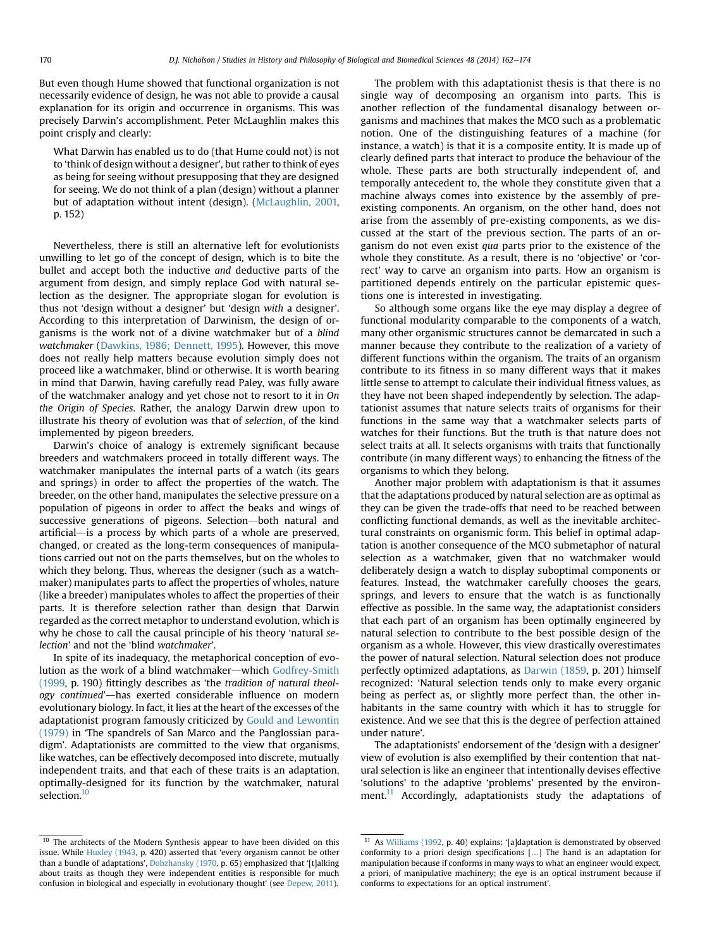But even though Hume showed that functional organization is not necessarily evidence of design, he was not able to provide a causal explanation for its origin and occurrence in organisms. This was precisely Darwin's accomplishment. Peter McLaughlin makes this point crisply and clearly:

What Darwin has enabled us to do (that Hume could not) is not to 'think of design without a designer', but rather to think of eyes as being for seeing without presupposing that they are designed for seeing. We do not think of a plan (design) without a planner but of adaptation without intent (design). [\(McLaughlin, 2001,](#page-11-0) p. 152)

Nevertheless, there is still an alternative left for evolutionists unwilling to let go of the concept of design, which is to bite the bullet and accept both the inductive and deductive parts of the argument from design, and simply replace God with natural selection as the designer. The appropriate slogan for evolution is thus not 'design without a designer' but 'design with a designer'. According to this interpretation of Darwinism, the design of organisms is the work not of a divine watchmaker but of a blind watchmaker [\(Dawkins, 1986; Dennett, 1995](#page-11-0)). However, this move does not really help matters because evolution simply does not proceed like a watchmaker, blind or otherwise. It is worth bearing in mind that Darwin, having carefully read Paley, was fully aware of the watchmaker analogy and yet chose not to resort to it in On the Origin of Species. Rather, the analogy Darwin drew upon to illustrate his theory of evolution was that of selection, of the kind implemented by pigeon breeders.

Darwin's choice of analogy is extremely significant because breeders and watchmakers proceed in totally different ways. The watchmaker manipulates the internal parts of a watch (its gears and springs) in order to affect the properties of the watch. The breeder, on the other hand, manipulates the selective pressure on a population of pigeons in order to affect the beaks and wings of successive generations of pigeons. Selection-both natural and  $artificial$ —is a process by which parts of a whole are preserved, changed, or created as the long-term consequences of manipulations carried out not on the parts themselves, but on the wholes to which they belong. Thus, whereas the designer (such as a watchmaker) manipulates parts to affect the properties of wholes, nature (like a breeder) manipulates wholes to affect the properties of their parts. It is therefore selection rather than design that Darwin regarded as the correct metaphor to understand evolution, which is why he chose to call the causal principle of his theory 'natural selection' and not the 'blind watchmaker'.

In spite of its inadequacy, the metaphorical conception of evo-lution as the work of a blind watchmaker—which [Godfrey-Smith](#page-11-0) [\(1999](#page-11-0), p. 190) fittingly describes as 'the tradition of natural theology continued'-has exerted considerable influence on modern evolutionary biology. In fact, it lies at the heart of the excesses of the adaptationist program famously criticized by [Gould and Lewontin](#page-11-0) [\(1979\)](#page-11-0) in 'The spandrels of San Marco and the Panglossian paradigm'. Adaptationists are committed to the view that organisms, like watches, can be effectively decomposed into discrete, mutually independent traits, and that each of these traits is an adaptation, optimally-designed for its function by the watchmaker, natural selection.<sup>10</sup>

The problem with this adaptationist thesis is that there is no single way of decomposing an organism into parts. This is another reflection of the fundamental disanalogy between organisms and machines that makes the MCO such as a problematic notion. One of the distinguishing features of a machine (for instance, a watch) is that it is a composite entity. It is made up of clearly defined parts that interact to produce the behaviour of the whole. These parts are both structurally independent of, and temporally antecedent to, the whole they constitute given that a machine always comes into existence by the assembly of preexisting components. An organism, on the other hand, does not arise from the assembly of pre-existing components, as we discussed at the start of the previous section. The parts of an organism do not even exist qua parts prior to the existence of the whole they constitute. As a result, there is no 'objective' or 'correct' way to carve an organism into parts. How an organism is partitioned depends entirely on the particular epistemic questions one is interested in investigating.

So although some organs like the eye may display a degree of functional modularity comparable to the components of a watch, many other organismic structures cannot be demarcated in such a manner because they contribute to the realization of a variety of different functions within the organism. The traits of an organism contribute to its fitness in so many different ways that it makes little sense to attempt to calculate their individual fitness values, as they have not been shaped independently by selection. The adaptationist assumes that nature selects traits of organisms for their functions in the same way that a watchmaker selects parts of watches for their functions. But the truth is that nature does not select traits at all. It selects organisms with traits that functionally contribute (in many different ways) to enhancing the fitness of the organisms to which they belong.

Another major problem with adaptationism is that it assumes that the adaptations produced by natural selection are as optimal as they can be given the trade-offs that need to be reached between conflicting functional demands, as well as the inevitable architectural constraints on organismic form. This belief in optimal adaptation is another consequence of the MCO submetaphor of natural selection as a watchmaker, given that no watchmaker would deliberately design a watch to display suboptimal components or features. Instead, the watchmaker carefully chooses the gears, springs, and levers to ensure that the watch is as functionally effective as possible. In the same way, the adaptationist considers that each part of an organism has been optimally engineered by natural selection to contribute to the best possible design of the organism as a whole. However, this view drastically overestimates the power of natural selection. Natural selection does not produce perfectly optimized adaptations, as [Darwin \(1859,](#page-11-0) p. 201) himself recognized: 'Natural selection tends only to make every organic being as perfect as, or slightly more perfect than, the other inhabitants in the same country with which it has to struggle for existence. And we see that this is the degree of perfection attained under nature'.

The adaptationists' endorsement of the 'design with a designer' view of evolution is also exemplified by their contention that natural selection is like an engineer that intentionally devises effective 'solutions' to the adaptive 'problems' presented by the environment.<sup>11</sup> Accordingly, adaptationists study the adaptations of

<sup>&</sup>lt;sup>10</sup> The architects of the Modern Synthesis appear to have been divided on this issue. While [Huxley \(1943](#page-11-0), p. 420) asserted that 'every organism cannot be other than a bundle of adaptations', [Dobzhansky \(1970](#page-11-0), p. 65) emphasized that '[t]alking about traits as though they were independent entities is responsible for much confusion in biological and especially in evolutionary thought' (see [Depew, 2011\)](#page-11-0).

 $11$  As [Williams \(1992,](#page-12-0) p. 40) explains: '[a]daptation is demonstrated by observed conformity to a priori design specifications [...] The hand is an adaptation for manipulation because if conforms in many ways to what an engineer would expect, a priori, of manipulative machinery; the eye is an optical instrument because if conforms to expectations for an optical instrument'.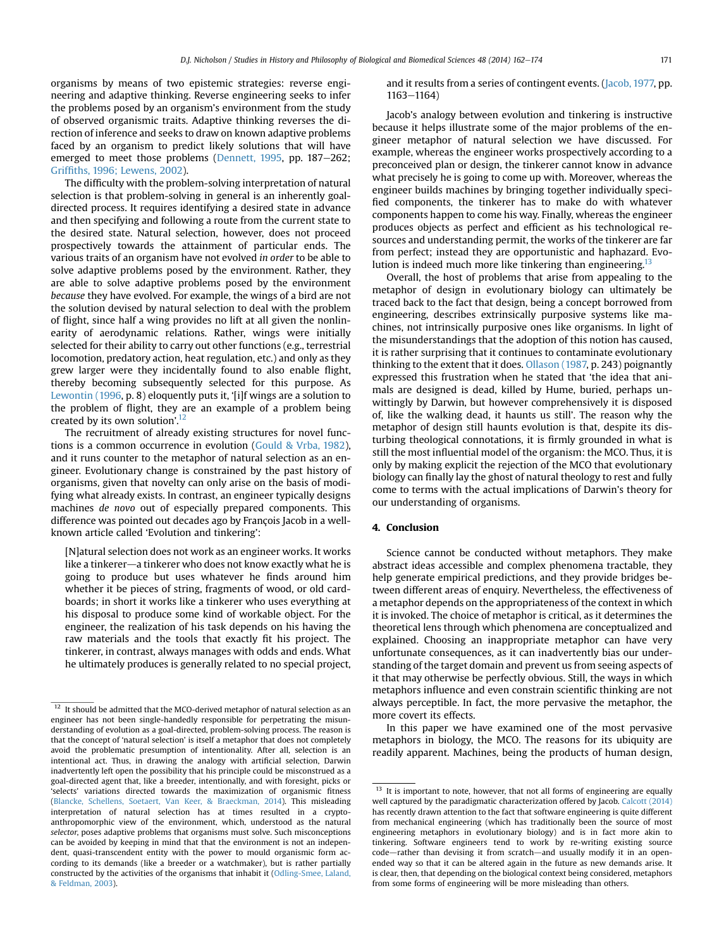organisms by means of two epistemic strategies: reverse engineering and adaptive thinking. Reverse engineering seeks to infer the problems posed by an organism's environment from the study of observed organismic traits. Adaptive thinking reverses the direction of inference and seeks to draw on known adaptive problems faced by an organism to predict likely solutions that will have emerged to meet those problems ([Dennett, 1995,](#page-11-0) pp. 187-262; Griffi[ths, 1996; Lewens, 2002\)](#page-11-0).

The difficulty with the problem-solving interpretation of natural selection is that problem-solving in general is an inherently goaldirected process. It requires identifying a desired state in advance and then specifying and following a route from the current state to the desired state. Natural selection, however, does not proceed prospectively towards the attainment of particular ends. The various traits of an organism have not evolved in order to be able to solve adaptive problems posed by the environment. Rather, they are able to solve adaptive problems posed by the environment because they have evolved. For example, the wings of a bird are not the solution devised by natural selection to deal with the problem of flight, since half a wing provides no lift at all given the nonlinearity of aerodynamic relations. Rather, wings were initially selected for their ability to carry out other functions (e.g., terrestrial locomotion, predatory action, heat regulation, etc.) and only as they grew larger were they incidentally found to also enable flight, thereby becoming subsequently selected for this purpose. As [Lewontin \(1996](#page-11-0), p. 8) eloquently puts it, '[i]f wings are a solution to the problem of flight, they are an example of a problem being created by its own solution'.<sup>12</sup>

The recruitment of already existing structures for novel functions is a common occurrence in evolution ([Gould & Vrba, 1982\)](#page-11-0), and it runs counter to the metaphor of natural selection as an engineer. Evolutionary change is constrained by the past history of organisms, given that novelty can only arise on the basis of modifying what already exists. In contrast, an engineer typically designs machines de novo out of especially prepared components. This difference was pointed out decades ago by François Jacob in a wellknown article called 'Evolution and tinkering':

[N]atural selection does not work as an engineer works. It works like a tinkerer—a tinkerer who does not know exactly what he is going to produce but uses whatever he finds around him whether it be pieces of string, fragments of wood, or old cardboards; in short it works like a tinkerer who uses everything at his disposal to produce some kind of workable object. For the engineer, the realization of his task depends on his having the raw materials and the tools that exactly fit his project. The tinkerer, in contrast, always manages with odds and ends. What he ultimately produces is generally related to no special project, and it results from a series of contingent events. [\(Jacob, 1977,](#page-11-0) pp. 1163-1164)

Jacob's analogy between evolution and tinkering is instructive because it helps illustrate some of the major problems of the engineer metaphor of natural selection we have discussed. For example, whereas the engineer works prospectively according to a preconceived plan or design, the tinkerer cannot know in advance what precisely he is going to come up with. Moreover, whereas the engineer builds machines by bringing together individually specified components, the tinkerer has to make do with whatever components happen to come his way. Finally, whereas the engineer produces objects as perfect and efficient as his technological resources and understanding permit, the works of the tinkerer are far from perfect; instead they are opportunistic and haphazard. Evolution is indeed much more like tinkering than engineering.<sup>13</sup>

Overall, the host of problems that arise from appealing to the metaphor of design in evolutionary biology can ultimately be traced back to the fact that design, being a concept borrowed from engineering, describes extrinsically purposive systems like machines, not intrinsically purposive ones like organisms. In light of the misunderstandings that the adoption of this notion has caused, it is rather surprising that it continues to contaminate evolutionary thinking to the extent that it does. [Ollason \(1987,](#page-11-0) p. 243) poignantly expressed this frustration when he stated that 'the idea that animals are designed is dead, killed by Hume, buried, perhaps unwittingly by Darwin, but however comprehensively it is disposed of, like the walking dead, it haunts us still'. The reason why the metaphor of design still haunts evolution is that, despite its disturbing theological connotations, it is firmly grounded in what is still the most influential model of the organism: the MCO. Thus, it is only by making explicit the rejection of the MCO that evolutionary biology can finally lay the ghost of natural theology to rest and fully come to terms with the actual implications of Darwin's theory for our understanding of organisms.

#### 4. Conclusion

Science cannot be conducted without metaphors. They make abstract ideas accessible and complex phenomena tractable, they help generate empirical predictions, and they provide bridges between different areas of enquiry. Nevertheless, the effectiveness of a metaphor depends on the appropriateness of the context in which it is invoked. The choice of metaphor is critical, as it determines the theoretical lens through which phenomena are conceptualized and explained. Choosing an inappropriate metaphor can have very unfortunate consequences, as it can inadvertently bias our understanding of the target domain and prevent us from seeing aspects of it that may otherwise be perfectly obvious. Still, the ways in which metaphors influence and even constrain scientific thinking are not always perceptible. In fact, the more pervasive the metaphor, the more covert its effects.

In this paper we have examined one of the most pervasive metaphors in biology, the MCO. The reasons for its ubiquity are readily apparent. Machines, being the products of human design,

 $^{12}\,$  It should be admitted that the MCO-derived metaphor of natural selection as an engineer has not been single-handedly responsible for perpetrating the misunderstanding of evolution as a goal-directed, problem-solving process. The reason is that the concept of 'natural selection' is itself a metaphor that does not completely avoid the problematic presumption of intentionality. After all, selection is an intentional act. Thus, in drawing the analogy with artificial selection, Darwin inadvertently left open the possibility that his principle could be misconstrued as a goal-directed agent that, like a breeder, intentionally, and with foresight, picks or 'selects' variations directed towards the maximization of organismic fitness ([Blancke, Schellens, Soetaert, Van Keer, & Braeckman, 2014\)](#page-10-0). This misleading interpretation of natural selection has at times resulted in a cryptoanthropomorphic view of the environment, which, understood as the natural selector, poses adaptive problems that organisms must solve. Such misconceptions can be avoided by keeping in mind that that the environment is not an independent, quasi-transcendent entity with the power to mould organismic form according to its demands (like a breeder or a watchmaker), but is rather partially constructed by the activities of the organisms that inhabit it [\(Odling-Smee, Laland,](#page-11-0) [& Feldman, 2003](#page-11-0)).

 $13$  It is important to note, however, that not all forms of engineering are equally well captured by the paradigmatic characterization offered by Jacob. [Calcott \(2014\)](#page-10-0) has recently drawn attention to the fact that software engineering is quite different from mechanical engineering (which has traditionally been the source of most engineering metaphors in evolutionary biology) and is in fact more akin to tinkering. Software engineers tend to work by re-writing existing source code-rather than devising it from scratch-and usually modify it in an openended way so that it can be altered again in the future as new demands arise. It is clear, then, that depending on the biological context being considered, metaphors from some forms of engineering will be more misleading than others.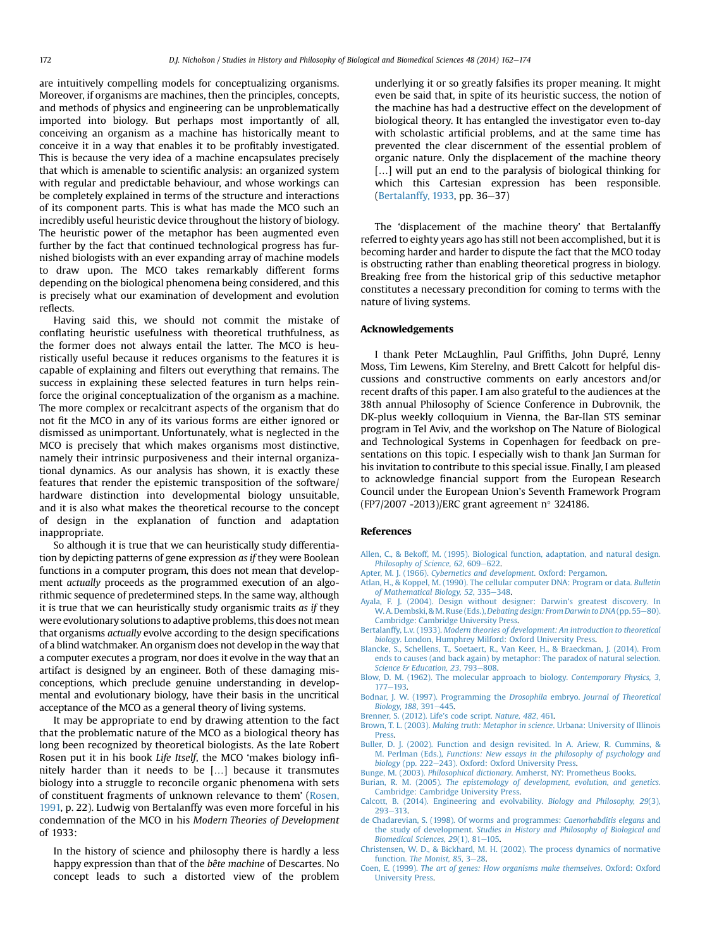<span id="page-10-0"></span>are intuitively compelling models for conceptualizing organisms. Moreover, if organisms are machines, then the principles, concepts, and methods of physics and engineering can be unproblematically imported into biology. But perhaps most importantly of all, conceiving an organism as a machine has historically meant to conceive it in a way that enables it to be profitably investigated. This is because the very idea of a machine encapsulates precisely that which is amenable to scientific analysis: an organized system with regular and predictable behaviour, and whose workings can be completely explained in terms of the structure and interactions of its component parts. This is what has made the MCO such an incredibly useful heuristic device throughout the history of biology. The heuristic power of the metaphor has been augmented even further by the fact that continued technological progress has furnished biologists with an ever expanding array of machine models to draw upon. The MCO takes remarkably different forms depending on the biological phenomena being considered, and this is precisely what our examination of development and evolution reflects.

Having said this, we should not commit the mistake of conflating heuristic usefulness with theoretical truthfulness, as the former does not always entail the latter. The MCO is heuristically useful because it reduces organisms to the features it is capable of explaining and filters out everything that remains. The success in explaining these selected features in turn helps reinforce the original conceptualization of the organism as a machine. The more complex or recalcitrant aspects of the organism that do not fit the MCO in any of its various forms are either ignored or dismissed as unimportant. Unfortunately, what is neglected in the MCO is precisely that which makes organisms most distinctive, namely their intrinsic purposiveness and their internal organizational dynamics. As our analysis has shown, it is exactly these features that render the epistemic transposition of the software/ hardware distinction into developmental biology unsuitable, and it is also what makes the theoretical recourse to the concept of design in the explanation of function and adaptation inappropriate.

So although it is true that we can heuristically study differentiation by depicting patterns of gene expression as if they were Boolean functions in a computer program, this does not mean that development actually proceeds as the programmed execution of an algorithmic sequence of predetermined steps. In the same way, although it is true that we can heuristically study organismic traits as if they were evolutionary solutions to adaptive problems, this does not mean that organisms actually evolve according to the design specifications of a blind watchmaker. An organism does not develop in the way that a computer executes a program, nor does it evolve in the way that an artifact is designed by an engineer. Both of these damaging misconceptions, which preclude genuine understanding in developmental and evolutionary biology, have their basis in the uncritical acceptance of the MCO as a general theory of living systems.

It may be appropriate to end by drawing attention to the fact that the problematic nature of the MCO as a biological theory has long been recognized by theoretical biologists. As the late Robert Rosen put it in his book Life Itself, the MCO 'makes biology infinitely harder than it needs to be  $[...]$  because it transmutes biology into a struggle to reconcile organic phenomena with sets of constituent fragments of unknown relevance to them' [\(Rosen,](#page-11-0) [1991,](#page-11-0) p. 22). Ludwig von Bertalanffy was even more forceful in his condemnation of the MCO in his Modern Theories of Development of 1933:

In the history of science and philosophy there is hardly a less happy expression than that of the bête machine of Descartes. No concept leads to such a distorted view of the problem underlying it or so greatly falsifies its proper meaning. It might even be said that, in spite of its heuristic success, the notion of the machine has had a destructive effect on the development of biological theory. It has entangled the investigator even to-day with scholastic artificial problems, and at the same time has prevented the clear discernment of the essential problem of organic nature. Only the displacement of the machine theory [...] will put an end to the paralysis of biological thinking for which this Cartesian expression has been responsible. (Bertalanffy, 1933, pp.  $36-37$ )

The 'displacement of the machine theory' that Bertalanffy referred to eighty years ago has still not been accomplished, but it is becoming harder and harder to dispute the fact that the MCO today is obstructing rather than enabling theoretical progress in biology. Breaking free from the historical grip of this seductive metaphor constitutes a necessary precondition for coming to terms with the nature of living systems.

#### Acknowledgements

I thank Peter McLaughlin, Paul Griffiths, John Dupré, Lenny Moss, Tim Lewens, Kim Sterelny, and Brett Calcott for helpful discussions and constructive comments on early ancestors and/or recent drafts of this paper. I am also grateful to the audiences at the 38th annual Philosophy of Science Conference in Dubrovnik, the DK-plus weekly colloquium in Vienna, the Bar-Ilan STS seminar program in Tel Aviv, and the workshop on The Nature of Biological and Technological Systems in Copenhagen for feedback on presentations on this topic. I especially wish to thank Jan Surman for his invitation to contribute to this special issue. Finally, I am pleased to acknowledge financial support from the European Research Council under the European Union's Seventh Framework Program (FP7/2007 -2013)/ERC grant agreement  $n^{\circ}$  324186.

#### References

- [Allen, C., & Bekoff, M. \(1995\). Biological function, adaptation, and natural design.](http://refhub.elsevier.com/S1369-8486(14)00108-3/sref1) [Philosophy of Science, 62](http://refhub.elsevier.com/S1369-8486(14)00108-3/sref1), 609-[622.](http://refhub.elsevier.com/S1369-8486(14)00108-3/sref1)
- Apter, M. J. (1966). [Cybernetics and development](http://refhub.elsevier.com/S1369-8486(14)00108-3/sref2). Oxford: Pergamon.
- [Atlan, H., & Koppel, M. \(1990\). The cellular computer DNA: Program or data.](http://refhub.elsevier.com/S1369-8486(14)00108-3/sref3) Bulletin [of Mathematical Biology, 52](http://refhub.elsevier.com/S1369-8486(14)00108-3/sref3), 335-[348](http://refhub.elsevier.com/S1369-8486(14)00108-3/sref3).
- [Ayala, F. J. \(2004\). Design without designer: Darwin](http://refhub.elsevier.com/S1369-8486(14)00108-3/sref4)'s greatest discovery. In W. A. Dembski, & M. Ruse (Eds.), [Debating design: From Darwin to DNA](http://refhub.elsevier.com/S1369-8486(14)00108-3/sref4) (pp. 55-[80\).](http://refhub.elsevier.com/S1369-8486(14)00108-3/sref4) [Cambridge: Cambridge University Press.](http://refhub.elsevier.com/S1369-8486(14)00108-3/sref4)
- Bertalanffy, L.v. (1933). [Modern theories of development: An introduction to theoretical](http://refhub.elsevier.com/S1369-8486(14)00108-3/sref5) biology[. London, Humphrey Milford: Oxford University Press.](http://refhub.elsevier.com/S1369-8486(14)00108-3/sref5)
- [Blancke, S., Schellens, T., Soetaert, R., Van Keer, H., & Braeckman, J. \(2014\). From](http://refhub.elsevier.com/S1369-8486(14)00108-3/sref6) [ends to causes \(and back again\) by metaphor: The paradox of natural selection.](http://refhub.elsevier.com/S1369-8486(14)00108-3/sref6) [Science & Education, 23](http://refhub.elsevier.com/S1369-8486(14)00108-3/sref6), 793-[808.](http://refhub.elsevier.com/S1369-8486(14)00108-3/sref6)
- [Blow, D. M. \(1962\). The molecular approach to biology.](http://refhub.elsevier.com/S1369-8486(14)00108-3/sref7) Contemporary Physics, 3, [177](http://refhub.elsevier.com/S1369-8486(14)00108-3/sref7)-[193](http://refhub.elsevier.com/S1369-8486(14)00108-3/sref7)
- [Bodnar, J. W. \(1997\). Programming the](http://refhub.elsevier.com/S1369-8486(14)00108-3/sref8) Drosophila embryo. Journal of Theoretical [Biology, 188](http://refhub.elsevier.com/S1369-8486(14)00108-3/sref8), 391-[445.](http://refhub.elsevier.com/S1369-8486(14)00108-3/sref8)
- [Brenner, S. \(2012\). Life](http://refhub.elsevier.com/S1369-8486(14)00108-3/sref9)'s code script. Nature, 482, 461.
- Brown, T. L. (2003). [Making truth: Metaphor in science](http://refhub.elsevier.com/S1369-8486(14)00108-3/sref10). Urbana: University of Illinois [Press](http://refhub.elsevier.com/S1369-8486(14)00108-3/sref10).
- [Buller, D. J. \(2002\). Function and design revisited. In A. Ariew, R. Cummins, &](http://refhub.elsevier.com/S1369-8486(14)00108-3/sref11) M. Perlman (Eds.), [Functions: New essays in the philosophy of psychology and](http://refhub.elsevier.com/S1369-8486(14)00108-3/sref11) biology [\(pp. 222](http://refhub.elsevier.com/S1369-8486(14)00108-3/sref11)-[243\). Oxford: Oxford University Press.](http://refhub.elsevier.com/S1369-8486(14)00108-3/sref11)
- Bunge, M. (2003). Philosophical dictionary[. Amherst, NY: Prometheus Books.](http://refhub.elsevier.com/S1369-8486(14)00108-3/sref12)
- Burian, R. M. (2005). [The epistemology of development, evolution, and genetics](http://refhub.elsevier.com/S1369-8486(14)00108-3/sref13). [Cambridge: Cambridge University Press.](http://refhub.elsevier.com/S1369-8486(14)00108-3/sref13)
- [Calcott, B. \(2014\). Engineering and evolvability.](http://refhub.elsevier.com/S1369-8486(14)00108-3/sref14) Biology and Philosophy, 29(3),  $293 - 313$  $293 - 313$
- [de Chadarevian, S. \(1998\). Of worms and programmes:](http://refhub.elsevier.com/S1369-8486(14)00108-3/sref15) Caenorhabditis elegans and the study of development. [Studies in History and Philosophy of Biological and](http://refhub.elsevier.com/S1369-8486(14)00108-3/sref15) [Biomedical Sciences, 29](http://refhub.elsevier.com/S1369-8486(14)00108-3/sref15)(1), 81-[105.](http://refhub.elsevier.com/S1369-8486(14)00108-3/sref15)
- [Christensen, W. D., & Bickhard, M. H. \(2002\). The process dynamics of normative](http://refhub.elsevier.com/S1369-8486(14)00108-3/sref16) function. [The Monist, 85](http://refhub.elsevier.com/S1369-8486(14)00108-3/sref16), 3-[28](http://refhub.elsevier.com/S1369-8486(14)00108-3/sref16).
- Coen, E. (1999). [The art of genes: How organisms make themselves](http://refhub.elsevier.com/S1369-8486(14)00108-3/sref17). Oxford: Oxford [University Press](http://refhub.elsevier.com/S1369-8486(14)00108-3/sref17).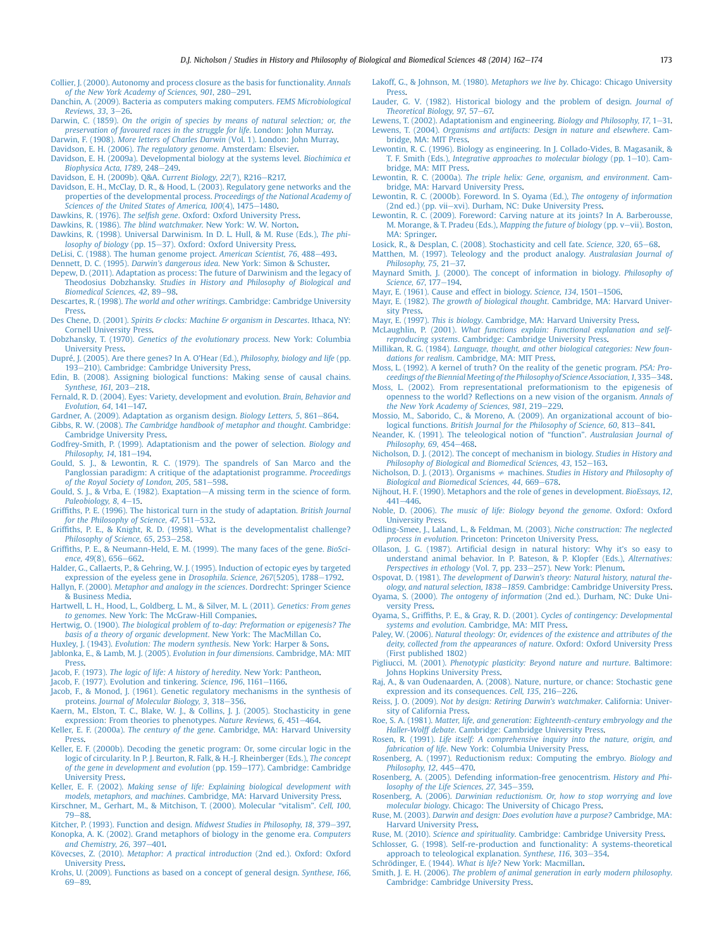- <span id="page-11-0"></span>[Collier, J. \(2000\). Autonomy and process closure as the basis for functionality.](http://refhub.elsevier.com/S1369-8486(14)00108-3/sref18) Annals [of the New York Academy of Sciences, 901](http://refhub.elsevier.com/S1369-8486(14)00108-3/sref18), 280-[291.](http://refhub.elsevier.com/S1369-8486(14)00108-3/sref18)
- [Danchin, A. \(2009\). Bacteria as computers making computers.](http://refhub.elsevier.com/S1369-8486(14)00108-3/sref19) FEMS Microbiological Reviews,  $33, 3-26$ .
- Darwin, C. (1859). [On the origin of species by means of natural selection; or, the](http://refhub.elsevier.com/S1369-8486(14)00108-3/sref20) [preservation of favoured races in the struggle for life](http://refhub.elsevier.com/S1369-8486(14)00108-3/sref20). London: John Murray.
- Darwin, F. (1908). More letters of Charles Darwin [\(Vol. 1\). London: John Murray.](http://refhub.elsevier.com/S1369-8486(14)00108-3/sref21)
- [Davidson, E. H. \(2006\).](http://refhub.elsevier.com/S1369-8486(14)00108-3/sref22) The regulatory genome. Amsterdam: Elsevier.
- [Davidson, E. H. \(2009a\). Developmental biology at the systems level.](http://refhub.elsevier.com/S1369-8486(14)00108-3/sref23) Biochimica et Biophysica Acta,  $1789, 248 - 249$  $1789, 248 - 249$ .

[Davidson, E. H. \(2009b\). Q&A.](http://refhub.elsevier.com/S1369-8486(14)00108-3/sref24) Current Biology, 22(7), R216-[R217.](http://refhub.elsevier.com/S1369-8486(14)00108-3/sref24)

- [Davidson, E. H., McClay, D. R., & Hood, L. \(2003\). Regulatory gene networks and the](http://refhub.elsevier.com/S1369-8486(14)00108-3/sref25) [properties of the developmental process.](http://refhub.elsevier.com/S1369-8486(14)00108-3/sref25) Proceedings of the National Academy of Sciences of the United States of America,  $100(4)$ ,  $1475-1480$ .
- Dawkins, R. (1976). The selfish gene[. Oxford: Oxford University Press.](http://refhub.elsevier.com/S1369-8486(14)00108-3/sref26)
- Dawkins, R. (1986). The blind watchmaker[. New York: W. W. Norton](http://refhub.elsevier.com/S1369-8486(14)00108-3/sref27).
- [Dawkins, R. \(1998\). Universal Darwinism. In D. L. Hull, & M. Ruse \(Eds.\),](http://refhub.elsevier.com/S1369-8486(14)00108-3/sref28) The phi[losophy of biology](http://refhub.elsevier.com/S1369-8486(14)00108-3/sref28) (pp. 15-[37\). Oxford: Oxford University Press](http://refhub.elsevier.com/S1369-8486(14)00108-3/sref28).
- [DeLisi, C. \(1988\). The human genome project.](http://refhub.elsevier.com/S1369-8486(14)00108-3/sref29) American Scientist, 76, 488-[493](http://refhub.elsevier.com/S1369-8486(14)00108-3/sref29).
- Dennett, D. C. (1995). Darwin's dangerous idea[. New York: Simon & Schuster.](http://refhub.elsevier.com/S1369-8486(14)00108-3/sref30)
- [Depew, D. \(2011\). Adaptation as process: The future of Darwinism and the legacy of](http://refhub.elsevier.com/S1369-8486(14)00108-3/sref31) Theodosius Dobzhansky. [Studies in History and Philosophy of Biological and](http://refhub.elsevier.com/S1369-8486(14)00108-3/sref31) [Biomedical Sciences, 42](http://refhub.elsevier.com/S1369-8486(14)00108-3/sref31), 89-[98](http://refhub.elsevier.com/S1369-8486(14)00108-3/sref31).
- Descartes, R. (1998). The world and other writings[. Cambridge: Cambridge University](http://refhub.elsevier.com/S1369-8486(14)00108-3/sref32) [Press](http://refhub.elsevier.com/S1369-8486(14)00108-3/sref32).
- Des Chene, D. (2001). [Spirits & clocks: Machine & organism in Descartes](http://refhub.elsevier.com/S1369-8486(14)00108-3/sref33). Ithaca, NY: [Cornell University Press](http://refhub.elsevier.com/S1369-8486(14)00108-3/sref33).
- Dobzhansky, T. (1970). [Genetics of the evolutionary process](http://refhub.elsevier.com/S1369-8486(14)00108-3/sref34). New York: Columbia [University Press](http://refhub.elsevier.com/S1369-8486(14)00108-3/sref34).
- [Dupré, J. \(2005\). Are there genes? In A. O](http://refhub.elsevier.com/S1369-8486(14)00108-3/sref35)'Hear (Ed.), Philosophy, biology and life (pp. [193](http://refhub.elsevier.com/S1369-8486(14)00108-3/sref35)-[210\). Cambridge: Cambridge University Press](http://refhub.elsevier.com/S1369-8486(14)00108-3/sref35).
- [Edin, B. \(2008\). Assigning biological functions: Making sense of causal chains.](http://refhub.elsevier.com/S1369-8486(14)00108-3/sref36) [Synthese, 161](http://refhub.elsevier.com/S1369-8486(14)00108-3/sref36), 203-[218.](http://refhub.elsevier.com/S1369-8486(14)00108-3/sref36)
- [Fernald, R. D. \(2004\). Eyes: Variety, development and evolution.](http://refhub.elsevier.com/S1369-8486(14)00108-3/sref37) Brain, Behavior and [Evolution, 64](http://refhub.elsevier.com/S1369-8486(14)00108-3/sref37), 141-[147.](http://refhub.elsevier.com/S1369-8486(14)00108-3/sref37)
- [Gardner, A. \(2009\). Adaptation as organism design.](http://refhub.elsevier.com/S1369-8486(14)00108-3/sref38) Biology Letters, 5, 861-[864.](http://refhub.elsevier.com/S1369-8486(14)00108-3/sref38)
- Gibbs, R. W. (2008). [The Cambridge handbook of metaphor and thought](http://refhub.elsevier.com/S1369-8486(14)00108-3/sref39). Cambridge: [Cambridge University Press](http://refhub.elsevier.com/S1369-8486(14)00108-3/sref39).
- [Godfrey-Smith, P. \(1999\). Adaptationism and the power of selection.](http://refhub.elsevier.com/S1369-8486(14)00108-3/sref40) Biology and [Philosophy, 14](http://refhub.elsevier.com/S1369-8486(14)00108-3/sref40), 181-[194](http://refhub.elsevier.com/S1369-8486(14)00108-3/sref40).
- [Gould, S. J., & Lewontin, R. C. \(1979\). The spandrels of San Marco and the](http://refhub.elsevier.com/S1369-8486(14)00108-3/sref41) [Panglossian paradigm: A critique of the adaptationist programme.](http://refhub.elsevier.com/S1369-8486(14)00108-3/sref41) Proceedings [of the Royal Society of London, 205](http://refhub.elsevier.com/S1369-8486(14)00108-3/sref41), 581-[598](http://refhub.elsevier.com/S1369-8486(14)00108-3/sref41).
- [Gould, S. J., & Vrba, E. \(1982\). Exaptation](http://refhub.elsevier.com/S1369-8486(14)00108-3/sref42)--[A missing term in the science of form.](http://refhub.elsevier.com/S1369-8486(14)00108-3/sref42) [Paleobiology, 8](http://refhub.elsevier.com/S1369-8486(14)00108-3/sref42), 4-[15](http://refhub.elsevier.com/S1369-8486(14)00108-3/sref42).
- Griffi[ths, P. E. \(1996\). The historical turn in the study of adaptation.](http://refhub.elsevier.com/S1369-8486(14)00108-3/sref43) British Journal [for the Philosophy of Science, 47](http://refhub.elsevier.com/S1369-8486(14)00108-3/sref43), 511-[532.](http://refhub.elsevier.com/S1369-8486(14)00108-3/sref43)
- Griffi[ths, P. E., & Knight, R. D. \(1998\). What is the developmentalist challenge?](http://refhub.elsevier.com/S1369-8486(14)00108-3/sref44) [Philosophy of Science, 65](http://refhub.elsevier.com/S1369-8486(14)00108-3/sref44), 253-[258](http://refhub.elsevier.com/S1369-8486(14)00108-3/sref44).
- Griffi[ths, P. E., & Neumann-Held, E. M. \(1999\). The many faces of the gene.](http://refhub.elsevier.com/S1369-8486(14)00108-3/sref45) BioSci[ence, 49](http://refhub.elsevier.com/S1369-8486(14)00108-3/sref45)(8), 656-[662.](http://refhub.elsevier.com/S1369-8486(14)00108-3/sref45)
- [Halder, G., Callaerts, P., & Gehring, W. J. \(1995\). Induction of ectopic eyes by targeted](http://refhub.elsevier.com/S1369-8486(14)00108-3/sref46) [expression of the eyeless gene in](http://refhub.elsevier.com/S1369-8486(14)00108-3/sref46) Drosophila. Science, 267(5205), 1788-[1792](http://refhub.elsevier.com/S1369-8486(14)00108-3/sref46).
- Hallyn, F. (2000). [Metaphor and analogy in the sciences](http://refhub.elsevier.com/S1369-8486(14)00108-3/sref47). Dordrecht: Springer Science [& Business Media](http://refhub.elsevier.com/S1369-8486(14)00108-3/sref47).
- [Hartwell, L. H., Hood, L., Goldberg, L. M., & Silver, M. L. \(2011\).](http://refhub.elsevier.com/S1369-8486(14)00108-3/sref48) Genetics: From genes to genomes[. New York: The McGraw-Hill Companies](http://refhub.elsevier.com/S1369-8486(14)00108-3/sref48).
- Hertwig, O. (1900). [The biological problem of to-day: Preformation or epigenesis? The](http://refhub.elsevier.com/S1369-8486(14)00108-3/sref49) [basis of a theory of organic development](http://refhub.elsevier.com/S1369-8486(14)00108-3/sref49). New York: The MacMillan Co.
- Huxley, J. (1943). [Evolution: The modern synthesis](http://refhub.elsevier.com/S1369-8486(14)00108-3/sref51). New York: Harper & Sons.
- [Jablonka, E., & Lamb, M. J. \(2005\).](http://refhub.elsevier.com/S1369-8486(14)00108-3/sref52) Evolution in four dimensions. Cambridge, MA: MIT [Press](http://refhub.elsevier.com/S1369-8486(14)00108-3/sref52).
- Jacob, F. (1973). [The logic of life: A history of heredity](http://refhub.elsevier.com/S1369-8486(14)00108-3/sref53). New York: Pantheon.
- [Jacob, F. \(1977\). Evolution and tinkering.](http://refhub.elsevier.com/S1369-8486(14)00108-3/sref54) Science, 196, 1161-[1166.](http://refhub.elsevier.com/S1369-8486(14)00108-3/sref54)
- [Jacob, F., & Monod, J. \(1961\). Genetic regulatory mechanisms in the synthesis of](http://refhub.elsevier.com/S1369-8486(14)00108-3/sref55) proteins. [Journal of Molecular Biology, 3](http://refhub.elsevier.com/S1369-8486(14)00108-3/sref55), 318-[356](http://refhub.elsevier.com/S1369-8486(14)00108-3/sref55).
- [Kaern, M., Elston, T. C., Blake, W. J., & Collins, J. J. \(2005\). Stochasticity in gene](http://refhub.elsevier.com/S1369-8486(14)00108-3/sref56) [expression: From theories to phenotypes.](http://refhub.elsevier.com/S1369-8486(14)00108-3/sref56) Nature Reviews, 6, 451-[464.](http://refhub.elsevier.com/S1369-8486(14)00108-3/sref56)
- Keller, E. F. (2000a). The century of the gene[. Cambridge, MA: Harvard University](http://refhub.elsevier.com/S1369-8486(14)00108-3/sref57) [Press](http://refhub.elsevier.com/S1369-8486(14)00108-3/sref57).
- [Keller, E. F. \(2000b\). Decoding the genetic program: Or, some circular logic in the](http://refhub.elsevier.com/S1369-8486(14)00108-3/sref58) [logic of circularity. In P. J. Beurton, R. Falk, & H.-J. Rheinberger \(Eds.\),](http://refhub.elsevier.com/S1369-8486(14)00108-3/sref58) The concept [of the gene in development and evolution](http://refhub.elsevier.com/S1369-8486(14)00108-3/sref58) (pp. 159-[177\). Cambridge: Cambridge](http://refhub.elsevier.com/S1369-8486(14)00108-3/sref58) [University Press](http://refhub.elsevier.com/S1369-8486(14)00108-3/sref58).
- Keller, E. F. (2002). [Making sense of life: Explaining biological development with](http://refhub.elsevier.com/S1369-8486(14)00108-3/sref59) models, metaphors, and machines[. Cambridge, MA: Harvard University Press](http://refhub.elsevier.com/S1369-8486(14)00108-3/sref59).
- [Kirschner, M., Gerhart, M., & Mitchison, T. \(2000\). Molecular](http://refhub.elsevier.com/S1369-8486(14)00108-3/sref60) "vitalism". Cell, 100,  $79 - 88.$  $79 - 88.$  $79 - 88.$
- [Kitcher, P. \(1993\). Function and design.](http://refhub.elsevier.com/S1369-8486(14)00108-3/sref61) Midwest Studies in Philosophy, 18, 379-[397.](http://refhub.elsevier.com/S1369-8486(14)00108-3/sref61) [Konopka, A. K. \(2002\). Grand metaphors of biology in the genome era.](http://refhub.elsevier.com/S1369-8486(14)00108-3/sref62) Computers and Chemistry,  $26$ , 397-[401.](http://refhub.elsevier.com/S1369-8486(14)00108-3/sref62)
- Kövecses, Z. (2010). [Metaphor: A practical introduction](http://refhub.elsevier.com/S1369-8486(14)00108-3/sref63) (2nd ed.). Oxford: Oxford [University Press](http://refhub.elsevier.com/S1369-8486(14)00108-3/sref63).
- [Krohs, U. \(2009\). Functions as based on a concept of general design.](http://refhub.elsevier.com/S1369-8486(14)00108-3/sref64) Synthese, 166,  $69 - 89.$  $69 - 89.$  $69 - 89.$
- [Lakoff, G., & Johnson, M. \(1980\).](http://refhub.elsevier.com/S1369-8486(14)00108-3/sref65) Metaphors we live by. Chicago: Chicago University [Press](http://refhub.elsevier.com/S1369-8486(14)00108-3/sref65).
- [Lauder, G. V. \(1982\). Historical biology and the problem of design.](http://refhub.elsevier.com/S1369-8486(14)00108-3/sref66) Journal of [Theoretical Biology, 97](http://refhub.elsevier.com/S1369-8486(14)00108-3/sref66), 57-[67.](http://refhub.elsevier.com/S1369-8486(14)00108-3/sref66)
- [Lewens, T. \(2002\). Adaptationism and engineering.](http://refhub.elsevier.com/S1369-8486(14)00108-3/sref67) Biology and Philosophy, 17,  $1-31$ . Lewens, T. (2004). [Organisms and artifacts: Design in nature and elsewhere](http://refhub.elsevier.com/S1369-8486(14)00108-3/sref68). Cam-
- [bridge, MA: MIT Press](http://refhub.elsevier.com/S1369-8486(14)00108-3/sref68). [Lewontin, R. C. \(1996\). Biology as engineering. In J. Collado-Vides, B. Magasanik, &](http://refhub.elsevier.com/S1369-8486(14)00108-3/sref69) T. F. Smith (Eds.), [Integrative approaches to molecular biology](http://refhub.elsevier.com/S1369-8486(14)00108-3/sref69) (pp.  $1-10$ ). Cam-
- [bridge, MA: MIT Press](http://refhub.elsevier.com/S1369-8486(14)00108-3/sref69). Lewontin, R. C. (2000a). [The triple helix: Gene, organism, and environment](http://refhub.elsevier.com/S1369-8486(14)00108-3/sref70). Cam[bridge, MA: Harvard University Press.](http://refhub.elsevier.com/S1369-8486(14)00108-3/sref70)
- [Lewontin, R. C. \(2000b\). Foreword. In S. Oyama \(Ed.\),](http://refhub.elsevier.com/S1369-8486(14)00108-3/sref71) The ontogeny of information [\(2nd ed.\) \(pp. vii](http://refhub.elsevier.com/S1369-8486(14)00108-3/sref71)-[xvi\). Durham, NC: Duke University Press](http://refhub.elsevier.com/S1369-8486(14)00108-3/sref71).
- [Lewontin, R. C. \(2009\). Foreword: Carving nature at its joints? In A. Barberousse,](http://refhub.elsevier.com/S1369-8486(14)00108-3/sref72) [M. Morange, & T. Pradeu \(Eds.\),](http://refhub.elsevier.com/S1369-8486(14)00108-3/sref72) Mapping the future of biology (pp. v-[vii\). Boston,](http://refhub.elsevier.com/S1369-8486(14)00108-3/sref72) [MA: Springer.](http://refhub.elsevier.com/S1369-8486(14)00108-3/sref72)
- [Losick, R., & Desplan, C. \(2008\). Stochasticity and cell fate.](http://refhub.elsevier.com/S1369-8486(14)00108-3/sref73) Science, 320, 65-[68.](http://refhub.elsevier.com/S1369-8486(14)00108-3/sref73)
- [Matthen, M. \(1997\). Teleology and the product analogy.](http://refhub.elsevier.com/S1369-8486(14)00108-3/sref74) Australasian Journal of Philosophy,  $75, 21-37$ .
- [Maynard Smith, J. \(2000\). The concept of information in biology.](http://refhub.elsevier.com/S1369-8486(14)00108-3/sref75) Philosophy of [Science, 67](http://refhub.elsevier.com/S1369-8486(14)00108-3/sref75), 177-[194.](http://refhub.elsevier.com/S1369-8486(14)00108-3/sref75)
- [Mayr, E. \(1961\). Cause and effect in biology.](http://refhub.elsevier.com/S1369-8486(14)00108-3/sref76) Science,  $134$ ,  $1501-1506$  $1501-1506$ .
- Mayr, E. (1982). The growth of biological thought[. Cambridge, MA: Harvard Univer](http://refhub.elsevier.com/S1369-8486(14)00108-3/sref77)[sity Press](http://refhub.elsevier.com/S1369-8486(14)00108-3/sref77).
- Mayr, E. (1997). This is biology[. Cambridge, MA: Harvard University Press](http://refhub.elsevier.com/S1369-8486(14)00108-3/sref78).
- McLaughlin, P. (2001). [What functions explain: Functional explanation and self](http://refhub.elsevier.com/S1369-8486(14)00108-3/sref79)reproducing systems[. Cambridge: Cambridge University Press.](http://refhub.elsevier.com/S1369-8486(14)00108-3/sref79)
- Millikan, R. G. (1984). [Language, thought, and other biological categories: New foun-](http://refhub.elsevier.com/S1369-8486(14)00108-3/sref80)
- dations for realism[. Cambridge, MA: MIT Press](http://refhub.elsevier.com/S1369-8486(14)00108-3/sref80). [Moss, L. \(1992\). A kernel of truth? On the reality of the genetic program.](http://refhub.elsevier.com/S1369-8486(14)00108-3/sref81) PSA: Pro-ceedings of the Biennial Meeting of the Philosophy of Science Association, 1, 335-[348](http://refhub.elsevier.com/S1369-8486(14)00108-3/sref81).
- [Moss, L. \(2002\). From representational preformationism to the epigenesis of](http://refhub.elsevier.com/S1369-8486(14)00108-3/sref82) openness to the world? Refl[ections on a new vision of the organism.](http://refhub.elsevier.com/S1369-8486(14)00108-3/sref82) Annals of [the New York Academy of Sciences, 981](http://refhub.elsevier.com/S1369-8486(14)00108-3/sref82), 219-[229.](http://refhub.elsevier.com/S1369-8486(14)00108-3/sref82)
- [Mossio, M., Saborido, C., & Moreno, A. \(2009\). An organizational account of bio-](http://refhub.elsevier.com/S1369-8486(14)00108-3/sref83)logical functions. [British Journal for the Philosophy of Science, 60](http://refhub.elsevier.com/S1369-8486(14)00108-3/sref83), 813-[841.](http://refhub.elsevier.com/S1369-8486(14)00108-3/sref83)
- [Neander, K. \(1991\). The teleological notion of](http://refhub.elsevier.com/S1369-8486(14)00108-3/sref84) "function". Australasian Journal of [Philosophy, 69](http://refhub.elsevier.com/S1369-8486(14)00108-3/sref84), 454-[468](http://refhub.elsevier.com/S1369-8486(14)00108-3/sref84).
- [Nicholson, D. J. \(2012\). The concept of mechanism in biology.](http://refhub.elsevier.com/S1369-8486(14)00108-3/sref85) Studies in History and [Philosophy of Biological and Biomedical Sciences, 43](http://refhub.elsevier.com/S1369-8486(14)00108-3/sref85), 152-[163.](http://refhub.elsevier.com/S1369-8486(14)00108-3/sref85)
- [Nicholson, D. J. \(2013\). Organisms](http://refhub.elsevier.com/S1369-8486(14)00108-3/sref86)  $\neq$  machines. [Studies in History and Philosophy of](http://refhub.elsevier.com/S1369-8486(14)00108-3/sref86) [Biological and Biomedical Sciences, 44](http://refhub.elsevier.com/S1369-8486(14)00108-3/sref86), 669-[678](http://refhub.elsevier.com/S1369-8486(14)00108-3/sref86).
- [Nijhout, H. F. \(1990\). Metaphors and the role of genes in development.](http://refhub.elsevier.com/S1369-8486(14)00108-3/sref87) BioEssays, 12,  $441 - 446$  $441 - 446$
- Noble, D. (2006). [The music of life: Biology beyond the genome](http://refhub.elsevier.com/S1369-8486(14)00108-3/sref88). Oxford: Oxford [University Press](http://refhub.elsevier.com/S1369-8486(14)00108-3/sref88).
- [Odling-Smee, J., Laland, L., & Feldman, M. \(2003\).](http://refhub.elsevier.com/S1369-8486(14)00108-3/sref89) Niche construction: The neglected process in evolution[. Princeton: Princeton University Press](http://refhub.elsevier.com/S1369-8486(14)00108-3/sref89).
- Ollason, J. G. (1987). Artifi[cial design in natural history: Why it](http://refhub.elsevier.com/S1369-8486(14)00108-3/sref90)'s so easy to [understand animal behavior. In P. Bateson, & P. Klopfer \(Eds.\),](http://refhub.elsevier.com/S1369-8486(14)00108-3/sref90) Alternatives: [Perspectives in ethology](http://refhub.elsevier.com/S1369-8486(14)00108-3/sref90) (Vol. 7, pp. 233-[257\). New York: Plenum](http://refhub.elsevier.com/S1369-8486(14)00108-3/sref90).
- Ospovat, D. (1981). The development of Darwin'[s theory: Natural history, natural the](http://refhub.elsevier.com/S1369-8486(14)00108-3/sref91)[ology, and natural selection, 1838](http://refhub.elsevier.com/S1369-8486(14)00108-3/sref91)-1859[. Cambridge: Cambridge University Press](http://refhub.elsevier.com/S1369-8486(14)00108-3/sref91).
- Oyama, S. (2000). The ontogeny of information [\(2nd ed.\). Durham, NC: Duke Uni](http://refhub.elsevier.com/S1369-8486(14)00108-3/sref92)[versity Press.](http://refhub.elsevier.com/S1369-8486(14)00108-3/sref92)
- Oyama, S., Griffiths, P. E., & Gray, R. D. (2001). [Cycles of contingency: Developmental](http://refhub.elsevier.com/S1369-8486(14)00108-3/sref93) systems and evolution[. Cambridge, MA: MIT Press](http://refhub.elsevier.com/S1369-8486(14)00108-3/sref93).
- Paley, W. (2006). [Natural theology: Or, evidences of the existence and attributes of the](http://refhub.elsevier.com/S1369-8486(14)00108-3/sref94) [deity, collected from the appearances of nature](http://refhub.elsevier.com/S1369-8486(14)00108-3/sref94). Oxford: Oxford University Press [\(First published 1802\)](http://refhub.elsevier.com/S1369-8486(14)00108-3/sref94)
- Pigliucci, M. (2001). [Phenotypic plasticity: Beyond nature and nurture](http://refhub.elsevier.com/S1369-8486(14)00108-3/sref115). Baltimore: [Johns Hopkins University Press](http://refhub.elsevier.com/S1369-8486(14)00108-3/sref115).
- [Raj, A., & van Oudenaarden, A. \(2008\). Nature, nurture, or chance: Stochastic gene](http://refhub.elsevier.com/S1369-8486(14)00108-3/sref95) [expression and its consequences.](http://refhub.elsevier.com/S1369-8486(14)00108-3/sref95) Cell, 135, 216-[226.](http://refhub.elsevier.com/S1369-8486(14)00108-3/sref95)
- Reiss, J. O. (2009). [Not by design: Retiring Darwin](http://refhub.elsevier.com/S1369-8486(14)00108-3/sref96)'s watchmaker. California: Univer[sity of California Press](http://refhub.elsevier.com/S1369-8486(14)00108-3/sref96).
- Roe, S. A. (1981). [Matter, life, and generation: Eighteenth-century embryology and the](http://refhub.elsevier.com/S1369-8486(14)00108-3/sref97) Haller-Wolff debate[. Cambridge: Cambridge University Press](http://refhub.elsevier.com/S1369-8486(14)00108-3/sref97).
- Rosen, R. (1991). [Life itself: A comprehensive inquiry into the nature, origin, and](http://refhub.elsevier.com/S1369-8486(14)00108-3/sref98) fabrication of life[. New York: Columbia University Press](http://refhub.elsevier.com/S1369-8486(14)00108-3/sref98).
- [Rosenberg, A. \(1997\). Reductionism redux: Computing the embryo.](http://refhub.elsevier.com/S1369-8486(14)00108-3/sref99) Biology and [Philosophy, 12](http://refhub.elsevier.com/S1369-8486(14)00108-3/sref99), 445-[470](http://refhub.elsevier.com/S1369-8486(14)00108-3/sref99).
- [Rosenberg, A. \(2005\). Defending information-free genocentrism.](http://refhub.elsevier.com/S1369-8486(14)00108-3/sref100) History and Philosophy of the Life Sciences,  $27, 345-359$ .
- Rosenberg, A. (2006). [Darwinian reductionism. Or, how to stop worrying and love](http://refhub.elsevier.com/S1369-8486(14)00108-3/sref101) molecular biology[. Chicago: The University of Chicago Press](http://refhub.elsevier.com/S1369-8486(14)00108-3/sref101).
- Ruse, M. (2003). [Darwin and design: Does evolution have a purpose?](http://refhub.elsevier.com/S1369-8486(14)00108-3/sref102) Cambridge, MA: [Harvard University Press.](http://refhub.elsevier.com/S1369-8486(14)00108-3/sref102)
- Ruse, M. (2010). Science and spirituality[. Cambridge: Cambridge University Press](http://refhub.elsevier.com/S1369-8486(14)00108-3/sref103). [Schlosser, G. \(1998\). Self-re-production and functionality: A systems-theoretical](http://refhub.elsevier.com/S1369-8486(14)00108-3/sref104)
- [approach to teleological explanation.](http://refhub.elsevier.com/S1369-8486(14)00108-3/sref104) Synthese, 116, 303-[354](http://refhub.elsevier.com/S1369-8486(14)00108-3/sref104).
- [Schrödinger, E. \(1944\).](http://refhub.elsevier.com/S1369-8486(14)00108-3/sref105) What is life? New York: Macmillan.
- Smith, J. E. H. (2006). [The problem of animal generation in early modern philosophy](http://refhub.elsevier.com/S1369-8486(14)00108-3/sref106). [Cambridge: Cambridge University Press](http://refhub.elsevier.com/S1369-8486(14)00108-3/sref106).